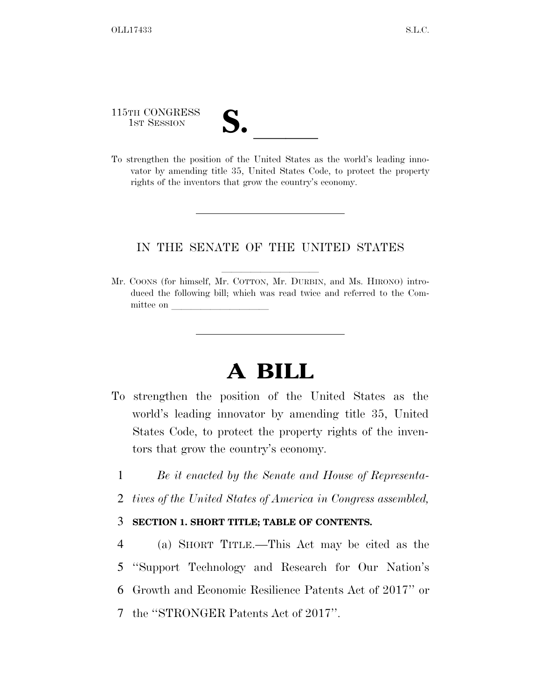115TH CONGRESS **S. laterally** 

To strengthen the position of the United States as the world's leading innovator by amending title 35, United States Code, to protect the property rights of the inventors that grow the country's economy.

### IN THE SENATE OF THE UNITED STATES

Mr. COONS (for himself, Mr. COTTON, Mr. DURBIN, and Ms. HIRONO) introduced the following bill; which was read twice and referred to the Committee on

# **A BILL**

- To strengthen the position of the United States as the world's leading innovator by amending title 35, United States Code, to protect the property rights of the inventors that grow the country's economy.
	- 1 *Be it enacted by the Senate and House of Representa-*
	- 2 *tives of the United States of America in Congress assembled,*

### 3 **SECTION 1. SHORT TITLE; TABLE OF CONTENTS.**

 (a) SHORT TITLE.—This Act may be cited as the ''Support Technology and Research for Our Nation's Growth and Economic Resilience Patents Act of 2017'' or the ''STRONGER Patents Act of 2017''.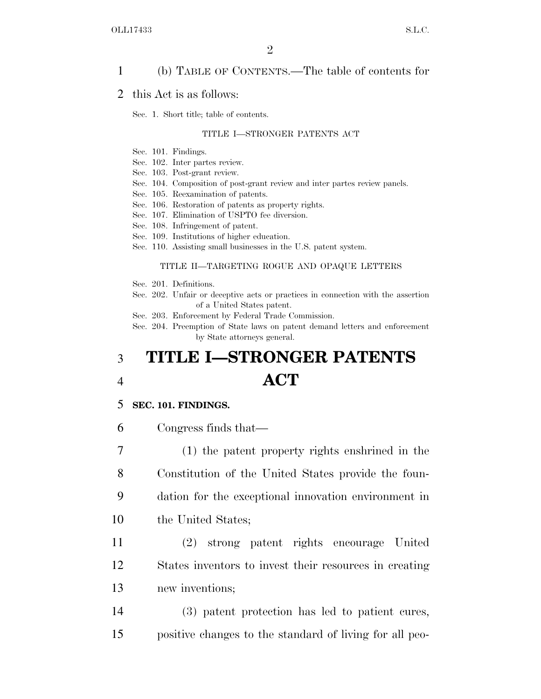### 1 (b) TABLE OF CONTENTS.—The table of contents for

#### 2 this Act is as follows:

Sec. 1. Short title; table of contents.

#### TITLE I—STRONGER PATENTS ACT

- Sec. 101. Findings.
- Sec. 102. Inter partes review.
- Sec. 103. Post-grant review.
- Sec. 104. Composition of post-grant review and inter partes review panels.
- Sec. 105. Reexamination of patents.
- Sec. 106. Restoration of patents as property rights.
- Sec. 107. Elimination of USPTO fee diversion.
- Sec. 108. Infringement of patent.
- Sec. 109. Institutions of higher education.
- Sec. 110. Assisting small businesses in the U.S. patent system.

#### TITLE II—TARGETING ROGUE AND OPAQUE LETTERS

- Sec. 201. Definitions.
- Sec. 202. Unfair or deceptive acts or practices in connection with the assertion of a United States patent.
- Sec. 203. Enforcement by Federal Trade Commission.

Sec. 204. Preemption of State laws on patent demand letters and enforcement by State attorneys general.

## 3 **TITLE I—STRONGER PATENTS**  4 **ACT**

### 5 **SEC. 101. FINDINGS.**

6 Congress finds that—

 (1) the patent property rights enshrined in the Constitution of the United States provide the foun- dation for the exceptional innovation environment in 10 the United States;

11 (2) strong patent rights encourage United 12 States inventors to invest their resources in creating 13 new inventions;

14 (3) patent protection has led to patient cures, 15 positive changes to the standard of living for all peo-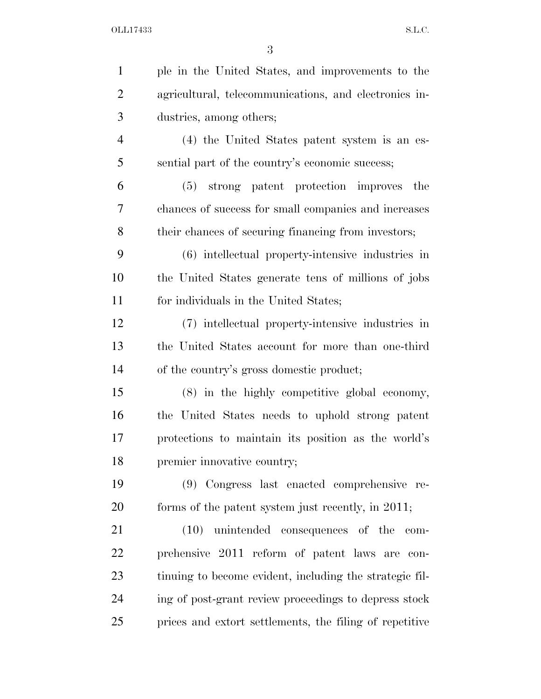| $\mathbf{1}$   | ple in the United States, and improvements to the       |
|----------------|---------------------------------------------------------|
| $\overline{2}$ | agricultural, telecommunications, and electronics in-   |
| 3              | dustries, among others;                                 |
| $\overline{4}$ | (4) the United States patent system is an es-           |
| 5              | sential part of the country's economic success;         |
| 6              | (5) strong patent protection improves<br>the            |
| 7              | chances of success for small companies and increases    |
| 8              | their chances of securing financing from investors;     |
| 9              | (6) intellectual property-intensive industries in       |
| 10             | the United States generate tens of millions of jobs     |
| 11             | for individuals in the United States;                   |
| 12             | (7) intellectual property-intensive industries in       |
| 13             | the United States account for more than one-third       |
| 14             | of the country's gross domestic product;                |
| 15             | (8) in the highly competitive global economy,           |
| 16             | the United States needs to uphold strong patent         |
| 17             | protections to maintain its position as the world's     |
| 18             | premier innovative country;                             |
| 19             | (9) Congress last enacted comprehensive re-             |
| 20             | forms of the patent system just recently, in 2011;      |
| 21             | unintended consequences of the<br>(10)<br>com-          |
| 22             | prehensive 2011 reform of patent laws are con-          |
| 23             | tinuing to become evident, including the strategic fil- |
| 24             | ing of post-grant review proceedings to depress stock   |
| 25             | prices and extort settlements, the filing of repetitive |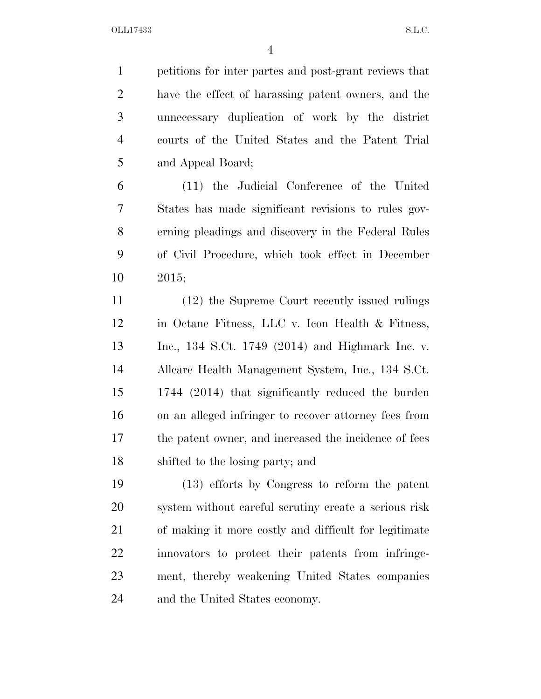petitions for inter partes and post-grant reviews that have the effect of harassing patent owners, and the unnecessary duplication of work by the district courts of the United States and the Patent Trial and Appeal Board;

 (11) the Judicial Conference of the United States has made significant revisions to rules gov- erning pleadings and discovery in the Federal Rules of Civil Procedure, which took effect in December 2015;

 (12) the Supreme Court recently issued rulings in Octane Fitness, LLC v. Icon Health & Fitness, Inc., 134 S.Ct. 1749 (2014) and Highmark Inc. v. Allcare Health Management System, Inc., 134 S.Ct. 1744 (2014) that significantly reduced the burden on an alleged infringer to recover attorney fees from the patent owner, and increased the incidence of fees shifted to the losing party; and

 (13) efforts by Congress to reform the patent system without careful scrutiny create a serious risk of making it more costly and difficult for legitimate innovators to protect their patents from infringe- ment, thereby weakening United States companies and the United States economy.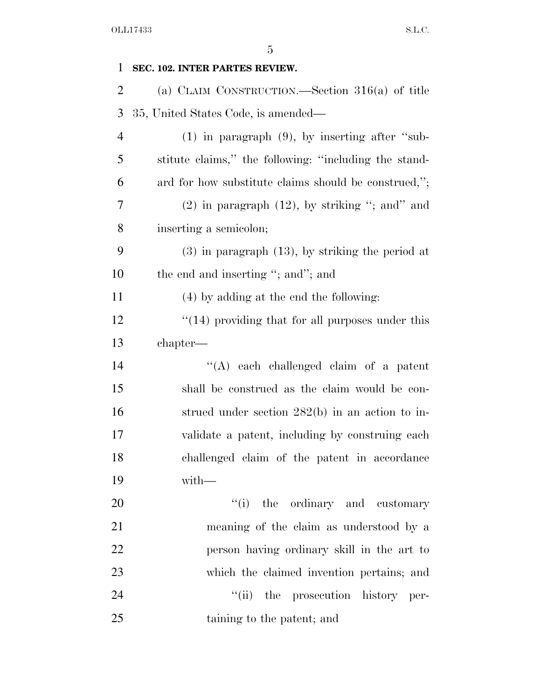| $\mathbf{1}$   | SEC. 102. INTER PARTES REVIEW.                          |
|----------------|---------------------------------------------------------|
| $\overline{2}$ | (a) CLAIM CONSTRUCTION.—Section $316(a)$ of title       |
| 3              | 35, United States Code, is amended—                     |
| $\overline{4}$ | $(1)$ in paragraph $(9)$ , by inserting after "sub-     |
| 5              | stitute claims," the following: "including the stand-   |
| 6              | ard for how substitute claims should be construed,";    |
| 7              | $(2)$ in paragraph $(12)$ , by striking "; and" and     |
| 8              | inserting a semicolon;                                  |
| 9              | $(3)$ in paragraph $(13)$ , by striking the period at   |
| 10             | the end and inserting "; and"; and                      |
| 11             | (4) by adding at the end the following:                 |
| 12             | $\cdot$ (14) providing that for all purposes under this |
| 13             | chapter—                                                |
| 14             | $\lq\lq$ each challenged claim of a patent              |
| 15             | shall be construed as the claim would be con-           |
| 16             | strued under section $282(b)$ in an action to in-       |
| 17             | validate a patent, including by construing each         |
| 18             | challenged claim of the patent in accordance            |
| 19             | with-                                                   |
| 20             | "(i) the ordinary and customary                         |
| 21             | meaning of the claim as understood by a                 |
| 22             | person having ordinary skill in the art to              |
| 23             | which the claimed invention pertains; and               |
| 24             | "(ii) the prosecution history per-                      |
| 25             | taining to the patent; and                              |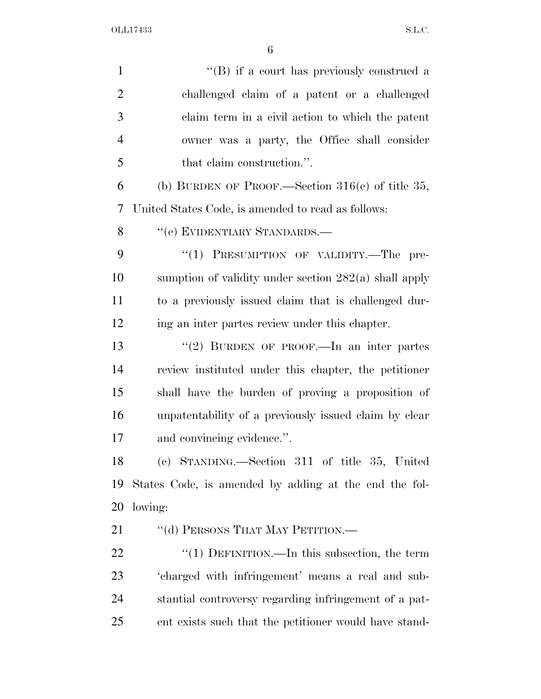| $\mathbf{1}$   | $\lq\lq$ if a court has previously construed a          |
|----------------|---------------------------------------------------------|
| $\overline{2}$ | challenged claim of a patent or a challenged            |
| $\mathfrak{Z}$ | claim term in a civil action to which the patent        |
| $\overline{4}$ | owner was a party, the Office shall consider            |
| 5              | that claim construction.".                              |
| 6              | (b) BURDEN OF PROOF.—Section $316(e)$ of title 35,      |
| 7              | United States Code, is amended to read as follows:      |
| 8              | "(e) EVIDENTIARY STANDARDS.—                            |
| 9              | "(1) PRESUMPTION OF VALIDITY.—The pre-                  |
| 10             | sumption of validity under section $282(a)$ shall apply |
| 11             | to a previously issued claim that is challenged dur-    |
| 12             | ing an inter partes review under this chapter.          |
| 13             | "(2) BURDEN OF PROOF.—In an inter partes                |
| 14             | review instituted under this chapter, the petitioner    |
| 15             | shall have the burden of proving a proposition of       |
| 16             | unpatentability of a previously issued claim by clear   |
| 17             | and convincing evidence.".                              |
| 18             | (c) STANDING.—Section 311 of title 35, United           |
| 19             | States Code, is amended by adding at the end the fol-   |
| 20             | lowing:                                                 |
| 21             | "(d) PERSONS THAT MAY PETITION.—                        |
| 22             | " $(1)$ DEFINITION.—In this subsection, the term        |
| 23             | 'charged with infringement' means a real and sub-       |
| 24             | stantial controversy regarding infringement of a pat-   |
| 25             | ent exists such that the petitioner would have stand-   |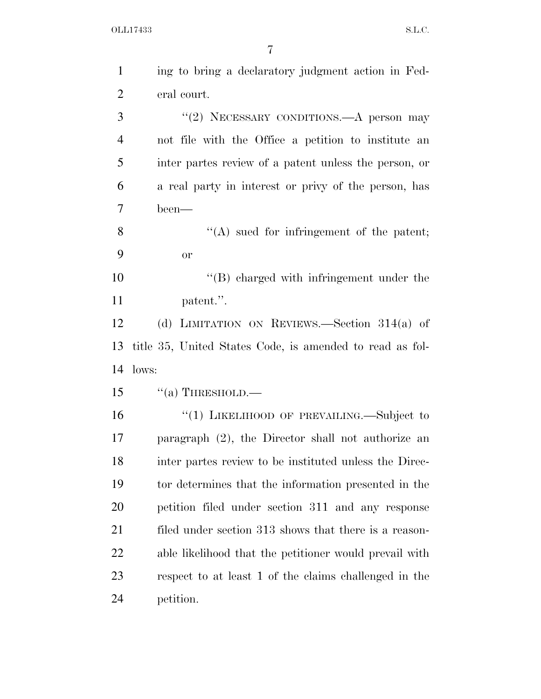| $\mathbf{1}$   | ing to bring a declaratory judgment action in Fed-       |
|----------------|----------------------------------------------------------|
| $\overline{2}$ | eral court.                                              |
| 3              | "(2) NECESSARY CONDITIONS.—A person may                  |
| $\overline{4}$ | not file with the Office a petition to institute an      |
| 5              | inter partes review of a patent unless the person, or    |
| 6              | a real party in interest or privy of the person, has     |
| $\overline{7}$ | been—                                                    |
| 8              | $\lq\lq$ sued for infringement of the patent;            |
| 9              | <b>or</b>                                                |
| 10             | $\lq\lq$ charged with infringement under the             |
| 11             | patent.".                                                |
| 12             | (d) LIMITATION ON REVIEWS.—Section $314(a)$ of           |
| 13             | title 35, United States Code, is amended to read as fol- |
| 14             | lows:                                                    |
| 15             | $``(a)$ THRESHOLD.—                                      |
| 16             |                                                          |
|                | "(1) LIKELIHOOD OF PREVAILING.—Subject to                |
| 17             | paragraph $(2)$ , the Director shall not authorize an    |
| 18             | inter partes review to be instituted unless the Direc-   |
| 19             | tor determines that the information presented in the     |
| 20             | petition filed under section 311 and any response        |
| 21             | filed under section 313 shows that there is a reason-    |
| 22             | able likelihood that the petitioner would prevail with   |
| 23             | respect to at least 1 of the claims challenged in the    |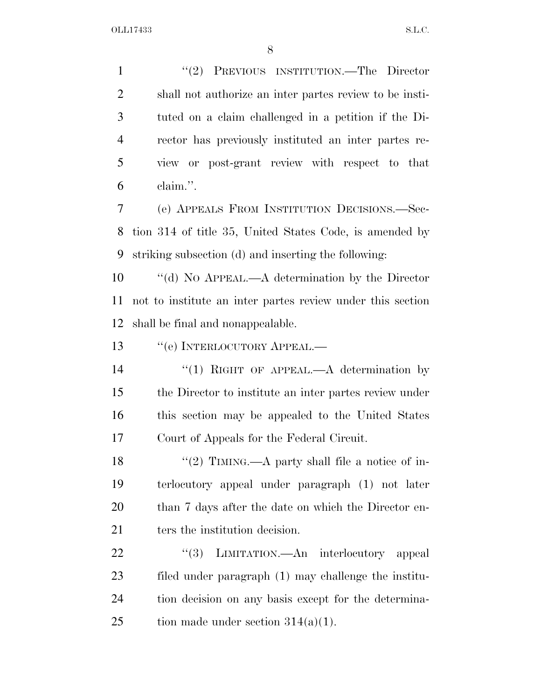1 "(2) PREVIOUS INSTITUTION.—The Director shall not authorize an inter partes review to be insti- tuted on a claim challenged in a petition if the Di- rector has previously instituted an inter partes re- view or post-grant review with respect to that claim.''.

 (e) APPEALS FROM INSTITUTION DECISIONS.—Sec- tion 314 of title 35, United States Code, is amended by striking subsection (d) and inserting the following:

 ''(d) NO APPEAL.—A determination by the Director not to institute an inter partes review under this section shall be final and nonappealable.

13 "(e) INTERLOCUTORY APPEAL.—

14 "(1) RIGHT OF APPEAL.—A determination by the Director to institute an inter partes review under this section may be appealed to the United States Court of Appeals for the Federal Circuit.

 $\frac{1}{2}$  TIMING.—A party shall file a notice of in- terlocutory appeal under paragraph (1) not later than 7 days after the date on which the Director en-21 ters the institution decision.

22 "(3) LIMITATION.—An interlocutory appeal filed under paragraph (1) may challenge the institu- tion decision on any basis except for the determina-25 tion made under section  $314(a)(1)$ .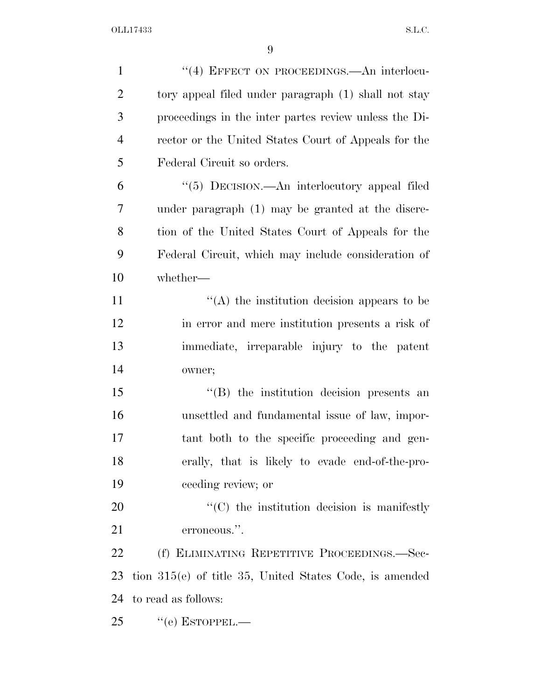| $\mathbf{1}$   | "(4) EFFECT ON PROCEEDINGS.—An interlocu-                    |
|----------------|--------------------------------------------------------------|
| $\overline{2}$ | tory appeal filed under paragraph (1) shall not stay         |
| 3              | proceedings in the inter partes review unless the Di-        |
| $\overline{4}$ | rector or the United States Court of Appeals for the         |
| 5              | Federal Circuit so orders.                                   |
| 6              | "(5) DECISION.—An interlocutory appeal filed                 |
| 7              | under paragraph (1) may be granted at the discre-            |
| 8              | tion of the United States Court of Appeals for the           |
| 9              | Federal Circuit, which may include consideration of          |
| 10             | whether-                                                     |
| 11             | $\lq\lq$ the institution decision appears to be              |
| 12             | in error and mere institution presents a risk of             |
| 13             | immediate, irreparable injury to the patent                  |
| 14             | owner;                                                       |
| 15             | $\lq\lq$ the institution decision presents an                |
| 16             | unsettled and fundamental issue of law, impor-               |
| 17             | tant both to the specific proceeding and gen-                |
| 18             | erally, that is likely to evade end-of-the-pro-              |
| 19             | ceeding review; or                                           |
| 20             | $\cdot$ (C) the institution decision is manifestly           |
| 21             | erroneous.".                                                 |
| 22             | (f) ELIMINATING REPETITIVE PROCEEDINGS.—Sec-                 |
| 23             | tion $315(e)$ of title $35$ , United States Code, is amended |
| 24             | to read as follows:                                          |
| 25             | $``$ (e) ESTOPPEL.—                                          |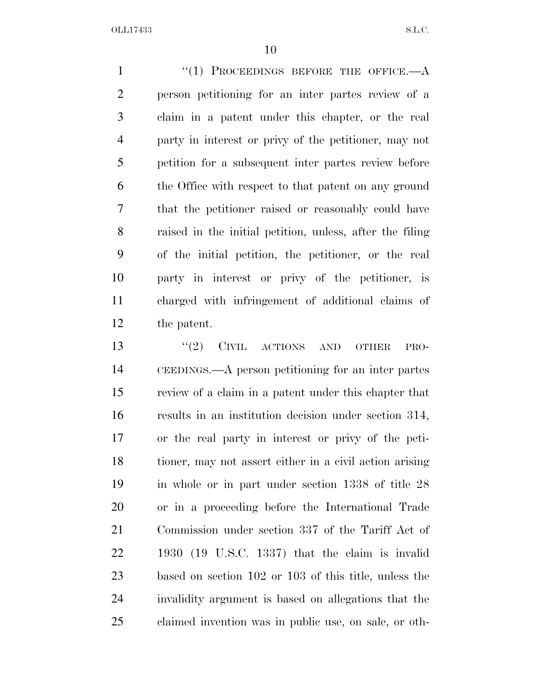1 "(1) PROCEEDINGS BEFORE THE OFFICE.—A person petitioning for an inter partes review of a claim in a patent under this chapter, or the real party in interest or privy of the petitioner, may not petition for a subsequent inter partes review before the Office with respect to that patent on any ground that the petitioner raised or reasonably could have raised in the initial petition, unless, after the filing of the initial petition, the petitioner, or the real party in interest or privy of the petitioner, is charged with infringement of additional claims of the patent.

13 "(2) CIVIL ACTIONS AND OTHER PRO- CEEDINGS.—A person petitioning for an inter partes review of a claim in a patent under this chapter that results in an institution decision under section 314, or the real party in interest or privy of the peti- tioner, may not assert either in a civil action arising in whole or in part under section 1338 of title 28 or in a proceeding before the International Trade Commission under section 337 of the Tariff Act of 1930 (19 U.S.C. 1337) that the claim is invalid based on section 102 or 103 of this title, unless the invalidity argument is based on allegations that the claimed invention was in public use, on sale, or oth-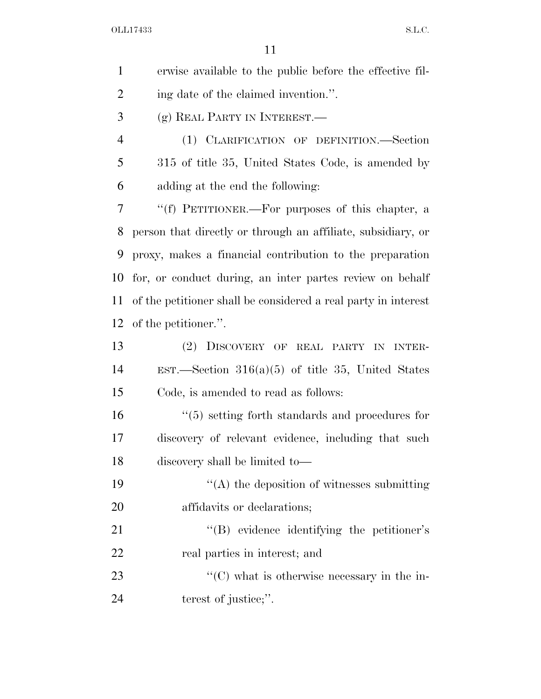| $\mathbf{1}$   | erwise available to the public before the effective fil-       |
|----------------|----------------------------------------------------------------|
| $\overline{2}$ | ing date of the claimed invention.".                           |
| 3              | (g) REAL PARTY IN INTEREST.—                                   |
| $\overline{4}$ | (1) CLARIFICATION OF DEFINITION.—Section                       |
| 5              | 315 of title 35, United States Code, is amended by             |
| 6              | adding at the end the following:                               |
| 7              | "(f) PETITIONER.—For purposes of this chapter, a               |
| 8              | person that directly or through an affiliate, subsidiary, or   |
| 9              | proxy, makes a financial contribution to the preparation       |
| 10             | for, or conduct during, an inter partes review on behalf       |
| 11             | of the petitioner shall be considered a real party in interest |
| 12             | of the petitioner.".                                           |
| 13             | (2) DISCOVERY OF REAL PARTY IN INTER-                          |
| 14             | EST.—Section $316(a)(5)$ of title 35, United States            |
| 15             | Code, is amended to read as follows:                           |
| 16             | $\cdot$ (5) setting forth standards and procedures for         |
| 17             | discovery of relevant evidence, including that such            |
| 18             | discovery shall be limited to-                                 |
| 19             | $\lq\lq$ the deposition of witnesses submitting                |
| 20             | affidavits or declarations;                                    |
| 21             | "(B) evidence identifying the petitioner's                     |
| 22             | real parties in interest; and                                  |
| 23             | $\cdot\cdot$ (C) what is otherwise necessary in the in-        |
| 24             | terest of justice;".                                           |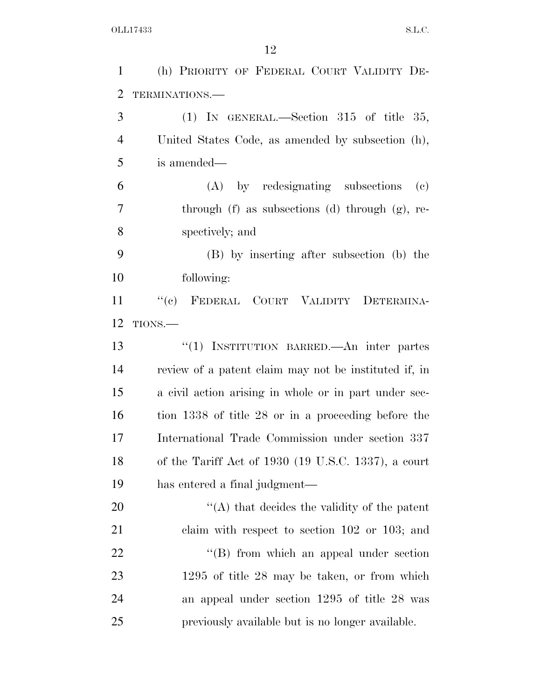| $\mathbf{1}$   | (h) PRIORITY OF FEDERAL COURT VALIDITY DE-                     |
|----------------|----------------------------------------------------------------|
| $\overline{2}$ | TERMINATIONS.                                                  |
| 3              | (1) IN GENERAL.—Section 315 of title 35,                       |
| 4              | United States Code, as amended by subsection (h),              |
| 5              | is amended—                                                    |
| 6              | (A) by redesignating subsections<br>$\left( \mathrm{e}\right)$ |
| 7              | through $(f)$ as subsections $(d)$ through $(g)$ , re-         |
| 8              | spectively; and                                                |
| 9              | (B) by inserting after subsection (b) the                      |
| 10             | following:                                                     |
| 11             | "(c) FEDERAL COURT VALIDITY DETERMINA-                         |
| 12             | TIONS.-                                                        |
| 13             | "(1) INSTITUTION BARRED.—An inter partes                       |
| 14             | review of a patent claim may not be instituted if, in          |
| 15             | a civil action arising in whole or in part under sec-          |
| 16             | tion 1338 of title 28 or in a proceeding before the            |
| 17             | International Trade Commission under section 337               |
| 18             | of the Tariff Act of 1930 (19 U.S.C. 1337), a court            |
| 19             | has entered a final judgment—                                  |
| 20             | $\lq\lq$ that decides the validity of the patent               |
| 21             | claim with respect to section $102$ or $103$ ; and             |
| 22             | "(B) from which an appeal under section                        |
| 23             | $1295$ of title 28 may be taken, or from which                 |
| 24             | an appeal under section 1295 of title 28 was                   |
| 25             | previously available but is no longer available.               |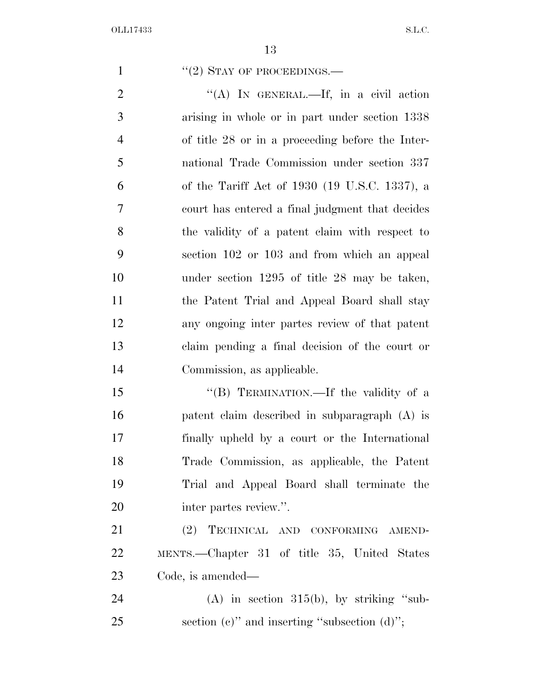1 "(2) STAY OF PROCEEDINGS.—

2 "(A) IN GENERAL.—If, in a civil action arising in whole or in part under section 1338 of title 28 or in a proceeding before the Inter- national Trade Commission under section 337 of the Tariff Act of 1930 (19 U.S.C. 1337), a court has entered a final judgment that decides the validity of a patent claim with respect to section 102 or 103 and from which an appeal under section 1295 of title 28 may be taken, the Patent Trial and Appeal Board shall stay any ongoing inter partes review of that patent claim pending a final decision of the court or Commission, as applicable.

15 "(B) TERMINATION.—If the validity of a patent claim described in subparagraph (A) is finally upheld by a court or the International Trade Commission, as applicable, the Patent Trial and Appeal Board shall terminate the inter partes review.''.

 (2) TECHNICAL AND CONFORMING AMEND- MENTS.—Chapter 31 of title 35, United States Code, is amended—

24 (A) in section  $315(b)$ , by striking "sub-25 section (c)" and inserting "subsection  $(d)$ ";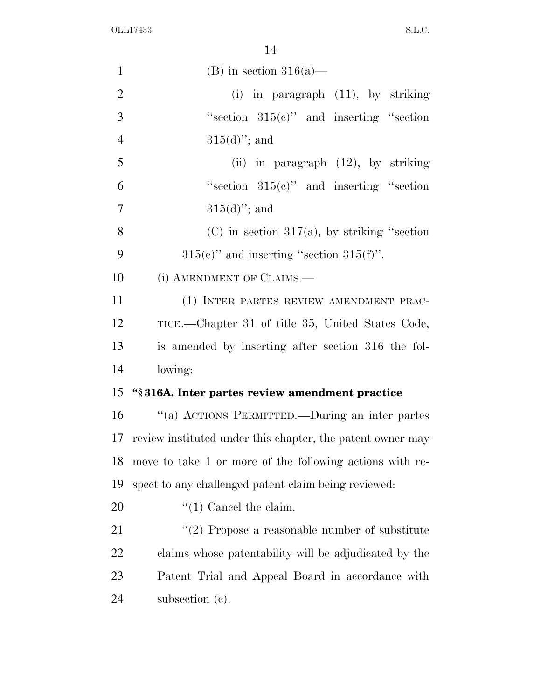| $\mathbf{1}$   | (B) in section $316(a)$ —                                  |
|----------------|------------------------------------------------------------|
| $\overline{2}$ | in paragraph (11), by striking<br>(i)                      |
| 3              | "section $315(e)$ " and inserting "section"                |
| $\overline{4}$ | $315(d)$ "; and                                            |
| 5              | (ii) in paragraph $(12)$ , by striking                     |
| 6              | "section $315(e)$ " and inserting "section"                |
| 7              | $315(d)$ "; and                                            |
| 8              | $(C)$ in section 317(a), by striking "section              |
| 9              | $315(e)$ " and inserting "section $315(f)$ ".              |
| 10             | (i) AMENDMENT OF CLAIMS.—                                  |
| 11             | (1) INTER PARTES REVIEW AMENDMENT PRAC-                    |
| 12             | TICE.—Chapter 31 of title 35, United States Code,          |
| 13             | is amended by inserting after section 316 the fol-         |
| 14             | lowing:                                                    |
| 15             | "§316A. Inter partes review amendment practice             |
| 16             |                                                            |
|                | "(a) ACTIONS PERMITTED.—During an inter partes             |
| 17             | review instituted under this chapter, the patent owner may |
| 18             | move to take 1 or more of the following actions with re-   |
| 19             | spect to any challenged patent claim being reviewed:       |
| 20             | $\lq(1)$ Cancel the claim.                                 |
| 21             | $\lq(2)$ Propose a reasonable number of substitute         |
| 22             | claims whose patentability will be adjudicated by the      |
| 23             | Patent Trial and Appeal Board in accordance with           |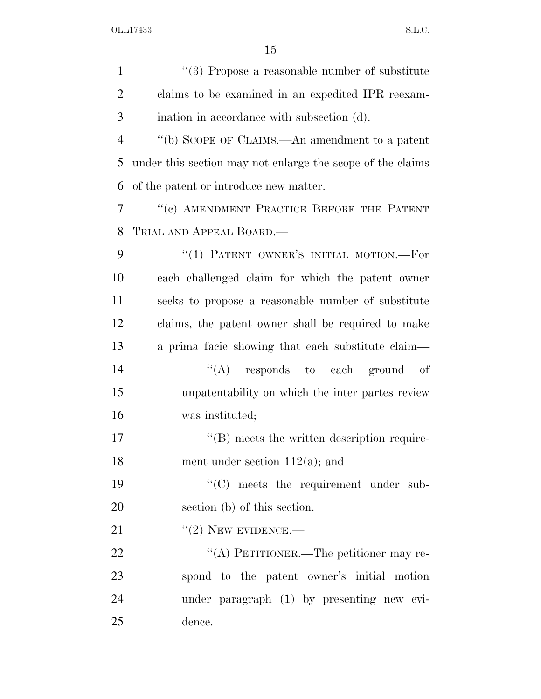| $\mathbf{1}$   | $\lq(3)$ Propose a reasonable number of substitute         |
|----------------|------------------------------------------------------------|
| $\overline{2}$ | claims to be examined in an expedited IPR reexam-          |
| 3              | ination in accordance with subsection (d).                 |
| $\overline{4}$ | "(b) SCOPE OF CLAIMS.—An amendment to a patent             |
| 5              | under this section may not enlarge the scope of the claims |
| 6              | of the patent or introduce new matter.                     |
| $\overline{7}$ | "(c) AMENDMENT PRACTICE BEFORE THE PATENT                  |
| 8              | TRIAL AND APPEAL BOARD.—                                   |
| 9              | "(1) PATENT OWNER'S INITIAL MOTION.-For                    |
| 10             | each challenged claim for which the patent owner           |
| 11             | seeks to propose a reasonable number of substitute         |
| 12             | claims, the patent owner shall be required to make         |
| 13             | a prima facie showing that each substitute claim—          |
| 14             | $\lq\lq$ responds to each ground of                        |
| 15             | unpatentability on which the inter partes review           |
| 16             | was instituted;                                            |
| 17             | $\lq\lq$ meets the written description require-            |
| 18             | ment under section $112(a)$ ; and                          |
| 19             | "(C) meets the requirement under sub-                      |
| 20             | section (b) of this section.                               |
| 21             | $"(2)$ NEW EVIDENCE.—                                      |
| 22             | "(A) PETITIONER.—The petitioner may re-                    |
| 23             | spond to the patent owner's initial motion                 |
| 24             | under paragraph (1) by presenting new evi-                 |
| 25             | dence.                                                     |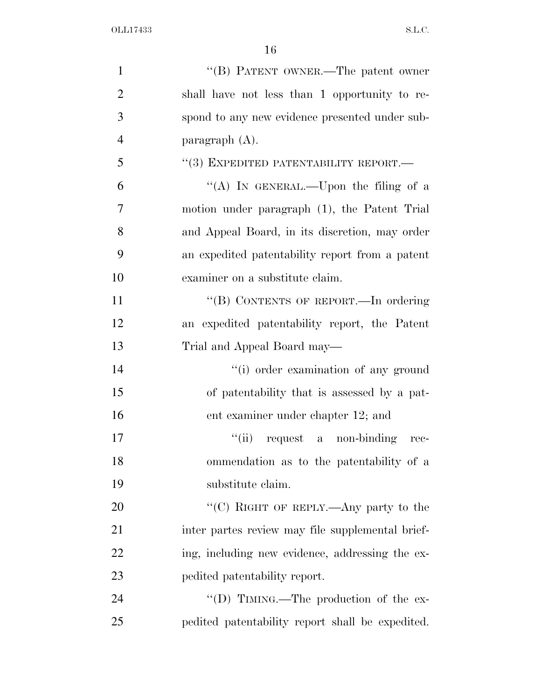| $\mathbf{1}$   | "(B) PATENT OWNER.—The patent owner              |
|----------------|--------------------------------------------------|
| $\overline{2}$ | shall have not less than 1 opportunity to re-    |
| 3              | spond to any new evidence presented under sub-   |
| $\overline{4}$ | paragraph $(A)$ .                                |
| 5              | $``(3)$ EXPEDITED PATENTABILITY REPORT.—         |
| 6              | "(A) IN GENERAL.—Upon the filing of a            |
| 7              | motion under paragraph (1), the Patent Trial     |
| 8              | and Appeal Board, in its discretion, may order   |
| 9              | an expedited patentability report from a patent  |
| 10             | examiner on a substitute claim.                  |
| 11             | "(B) CONTENTS OF REPORT.—In ordering             |
| 12             | an expedited patentability report, the Patent    |
| 13             | Trial and Appeal Board may—                      |
| 14             | "(i) order examination of any ground             |
| 15             | of patentability that is assessed by a pat-      |
| 16             | ent examiner under chapter 12; and               |
| 17             | "(ii) request a non-binding rec-                 |
| 18             | ommendation as to the patentability of a         |
| 19             | substitute claim.                                |
| 20             | "(C) RIGHT OF REPLY.—Any party to the            |
| 21             | inter partes review may file supplemental brief- |
| 22             | ing, including new evidence, addressing the ex-  |
| 23             | pedited patentability report.                    |
| 24             | "(D) TIMING.—The production of the ex-           |
| 25             | pedited patentability report shall be expedited. |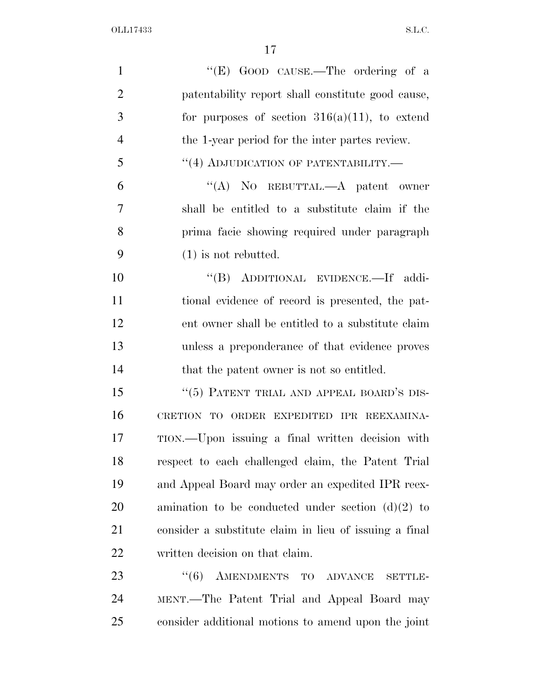| $\mathbf{1}$   | "(E) GOOD CAUSE.—The ordering of a                     |
|----------------|--------------------------------------------------------|
| $\overline{2}$ | patentability report shall constitute good cause,      |
| 3              | for purposes of section $316(a)(11)$ , to extend       |
| $\overline{4}$ | the 1-year period for the inter partes review.         |
| 5              | "(4) ADJUDICATION OF PATENTABILITY.-                   |
| 6              | "(A) NO REBUTTAL.—A patent owner                       |
| $\overline{7}$ | shall be entitled to a substitute claim if the         |
| 8              | prima facie showing required under paragraph           |
| 9              | $(1)$ is not rebutted.                                 |
| 10             | "(B) ADDITIONAL EVIDENCE.—If addi-                     |
| 11             | tional evidence of record is presented, the pat-       |
| 12             | ent owner shall be entitled to a substitute claim      |
| 13             | unless a preponderance of that evidence proves         |
| 14             | that the patent owner is not so entitled.              |
| 15             | "(5) PATENT TRIAL AND APPEAL BOARD'S DIS-              |
| 16             | CRETION TO ORDER EXPEDITED IPR REEXAMINA-              |
| 17             | TION.—Upon issuing a final written decision with       |
| 18             | respect to each challenged claim, the Patent Trial     |
| 19             | and Appeal Board may order an expedited IPR reex-      |
| 20             | amination to be conducted under section $(d)(2)$ to    |
| 21             | consider a substitute claim in lieu of issuing a final |
| 22             | written decision on that claim.                        |
| 23             | AMENDMENTS TO ADVANCE<br>(6)<br><b>SETTLE-</b>         |
| 24             | MENT.-The Patent Trial and Appeal Board may            |
| 25             | consider additional motions to amend upon the joint    |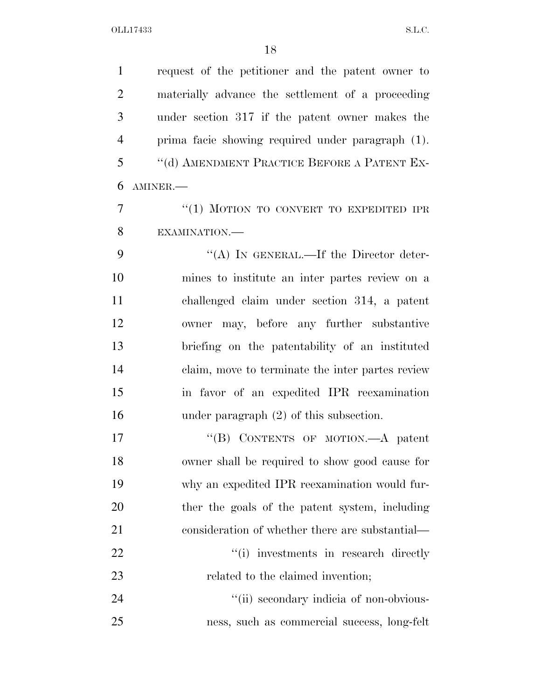request of the petitioner and the patent owner to materially advance the settlement of a proceeding under section 317 if the patent owner makes the prima facie showing required under paragraph (1). ''(d) AMENDMENT PRACTICE BEFORE A PATENT EX- AMINER.— 7 "(1) MOTION TO CONVERT TO EXPEDITED IPR EXAMINATION.— 9 "(A) IN GENERAL.—If the Director deter- mines to institute an inter partes review on a challenged claim under section 314, a patent owner may, before any further substantive briefing on the patentability of an instituted claim, move to terminate the inter partes review in favor of an expedited IPR reexamination under paragraph (2) of this subsection. 17 "'(B) CONTENTS OF MOTION.—A patent owner shall be required to show good cause for why an expedited IPR reexamination would fur- ther the goals of the patent system, including 21 consideration of whether there are substantial—  $\frac{1}{1}$  investments in research directly 23 related to the claimed invention;  $\frac{1}{1}$  secondary indicia of non-obvious-

ness, such as commercial success, long-felt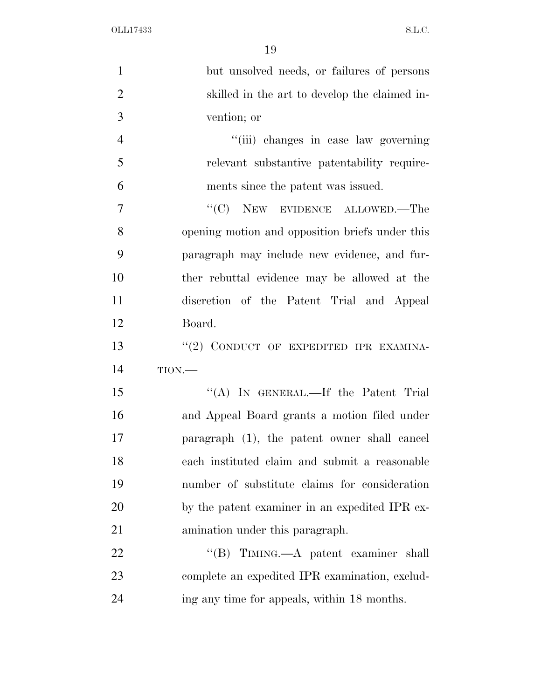| $\mathbf{1}$   | but unsolved needs, or failures of persons      |
|----------------|-------------------------------------------------|
| $\overline{2}$ | skilled in the art to develop the claimed in-   |
| 3              | vention; or                                     |
| $\overline{4}$ | "(iii) changes in case law governing            |
| 5              | relevant substantive patentability require-     |
| 6              | ments since the patent was issued.              |
| $\overline{7}$ | $\cdot$ (C) NEW EVIDENCE ALLOWED.—The           |
| 8              | opening motion and opposition briefs under this |
| 9              | paragraph may include new evidence, and fur-    |
| 10             | ther rebuttal evidence may be allowed at the    |
| 11             | discretion of the Patent Trial and Appeal       |
| 12             | Board.                                          |
| 13             | "(2) CONDUCT OF EXPEDITED IPR EXAMINA-          |
| 14             | TION                                            |
| 15             | "(A) IN GENERAL.—If the Patent Trial            |
| 16             | and Appeal Board grants a motion filed under    |
| 17             | paragraph (1), the patent owner shall cancel    |
| 18             | each instituted claim and submit a reasonable   |
| 19             | number of substitute claims for consideration   |
| 20             | by the patent examiner in an expedited IPR ex-  |
| 21             | amination under this paragraph.                 |
| 22             | "(B) TIMING.—A patent examiner shall            |
| 23             | complete an expedited IPR examination, exclud-  |
| 24             | ing any time for appeals, within 18 months.     |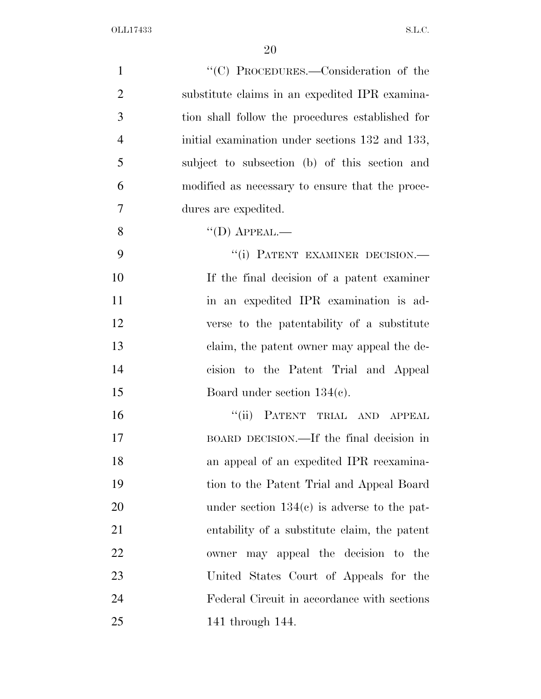| $\mathbf{1}$   | "(C) PROCEDURES.—Consideration of the            |
|----------------|--------------------------------------------------|
| $\overline{2}$ | substitute claims in an expedited IPR examina-   |
| 3              | tion shall follow the procedures established for |
| $\overline{4}$ | initial examination under sections 132 and 133,  |
| 5              | subject to subsection (b) of this section and    |
| 6              | modified as necessary to ensure that the proce-  |
| $\overline{7}$ | dures are expedited.                             |
| 8              | $\lq\lq$ (D) APPEAL.—                            |
| 9              | "(i) PATENT EXAMINER DECISION.-                  |
| 10             | If the final decision of a patent examiner       |
| 11             | in an expedited IPR examination is ad-           |
| 12             | verse to the patentability of a substitute       |
| 13             | claim, the patent owner may appeal the de-       |
| 14             | cision to the Patent Trial and Appeal            |
| 15             | Board under section $134(e)$ .                   |
| 16             | "(ii) PATENT TRIAL AND APPEAL                    |
| 17             | BOARD DECISION.—If the final decision in         |
| 18             | an appeal of an expedited IPR reexamina-         |
| 19             | tion to the Patent Trial and Appeal Board        |
| 20             | under section $134(c)$ is adverse to the pat-    |
| 21             | entability of a substitute claim, the patent     |
| 22             | owner may appeal the decision to the             |
| 23             | United States Court of Appeals for the           |
| 24             | Federal Circuit in accordance with sections      |
| 25             | 141 through 144.                                 |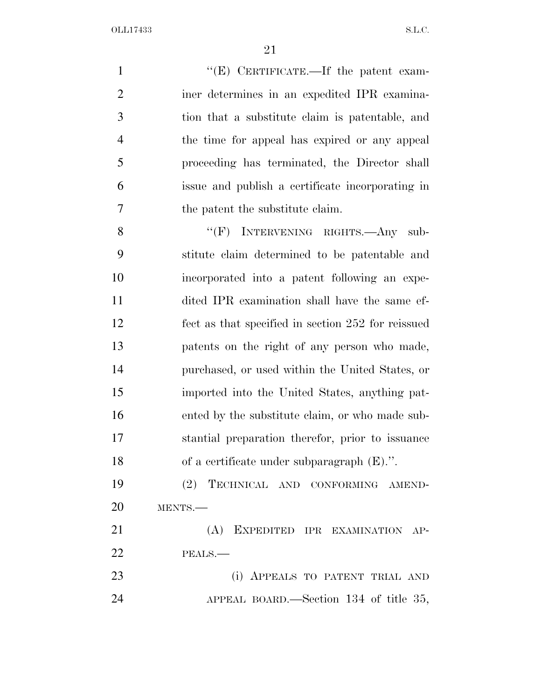$''(E)$  CERTIFICATE.—If the patent exam- iner determines in an expedited IPR examina- tion that a substitute claim is patentable, and the time for appeal has expired or any appeal proceeding has terminated, the Director shall issue and publish a certificate incorporating in the patent the substitute claim. 8 "(F) INTERVENING RIGHTS.—Any sub- stitute claim determined to be patentable and incorporated into a patent following an expe- dited IPR examination shall have the same ef- fect as that specified in section 252 for reissued patents on the right of any person who made, purchased, or used within the United States, or imported into the United States, anything pat- ented by the substitute claim, or who made sub- stantial preparation therefor, prior to issuance of a certificate under subparagraph (E).''. (2) TECHNICAL AND CONFORMING AMEND- MENTS.— (A) EXPEDITED IPR EXAMINATION AP- PEALS.— (i) APPEALS TO PATENT TRIAL AND

APPEAL BOARD.—Section 134 of title 35,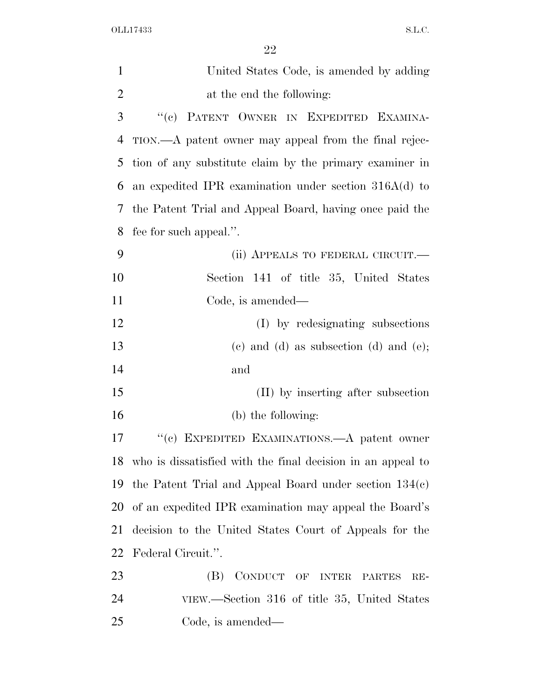| $\mathbf{1}$   | United States Code, is amended by adding                       |
|----------------|----------------------------------------------------------------|
| $\overline{2}$ | at the end the following:                                      |
| 3              | "(c) PATENT OWNER IN EXPEDITED EXAMINA-                        |
| 4              | TION.—A patent owner may appeal from the final rejec-          |
| 5              | tion of any substitute claim by the primary examiner in        |
| 6              | an expedited IPR examination under section $316A(d)$ to        |
| 7              | the Patent Trial and Appeal Board, having once paid the        |
| 8              | fee for such appeal.".                                         |
| 9              | (ii) APPEALS TO FEDERAL CIRCUIT.—                              |
| 10             | Section 141 of title 35, United States                         |
| 11             | Code, is amended—                                              |
| 12             | (I) by redesignating subsections                               |
| 13             | $(e)$ and $(d)$ as subsection $(d)$ and $(e)$ ;                |
| 14             | and                                                            |
| 15             | (II) by inserting after subsection                             |
| 16             | (b) the following:                                             |
| 17             | "(c) EXPEDITED EXAMINATIONS.—A patent owner                    |
|                | 18 who is dissatisfied with the final decision in an appeal to |
| 19             | the Patent Trial and Appeal Board under section $134(c)$       |
| 20             | of an expedited IPR examination may appeal the Board's         |
| 21             | decision to the United States Court of Appeals for the         |
| 22             | Federal Circuit.".                                             |
| 23             | CONDUCT OF INTER PARTES<br>(B)<br>$RE-$                        |
| 24             | VIEW.—Section 316 of title 35, United States                   |
| 25             | Code, is amended—                                              |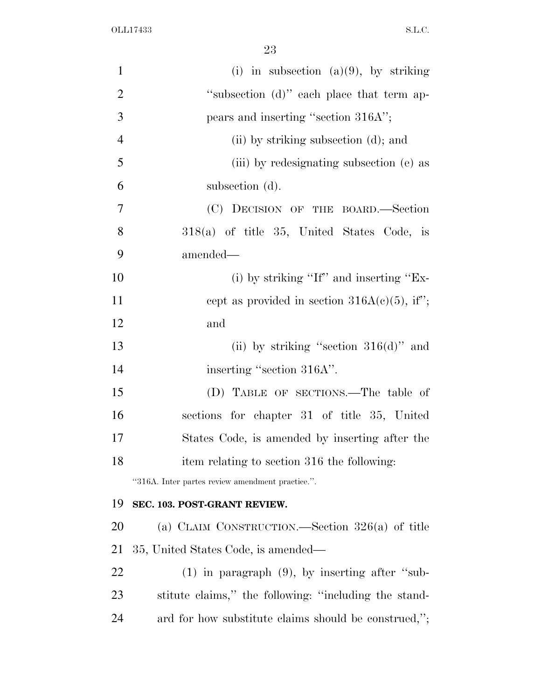| $\mathbf{1}$   | (i) in subsection (a)(9), by striking                 |
|----------------|-------------------------------------------------------|
| $\overline{2}$ | "subsection (d)" each place that term ap-             |
| 3              | pears and inserting "section 316A";                   |
| $\overline{4}$ | (ii) by striking subsection (d); and                  |
| 5              | (iii) by redesignating subsection (e) as              |
| 6              | subsection (d).                                       |
| $\overline{7}$ | (C) DECISION OF THE BOARD.—Section                    |
| 8              | 318(a) of title 35, United States Code, is            |
| 9              | amended—                                              |
| 10             | (i) by striking "If" and inserting "Ex-               |
| 11             | cept as provided in section $316A(c)(5)$ , if";       |
| 12             | and                                                   |
| 13             | (ii) by striking "section $316(d)$ " and              |
| 14             | inserting "section 316A".                             |
| 15             | (D) TABLE OF SECTIONS.—The table of                   |
| 16             | sections for chapter 31 of title 35, United           |
| 17             | States Code, is amended by inserting after the        |
| 18             | item relating to section 316 the following:           |
|                | "316A. Inter partes review amendment practice.".      |
| 19             | SEC. 103. POST-GRANT REVIEW.                          |
| 20             | (a) CLAIM CONSTRUCTION.—Section $326(a)$ of title     |
| 21             | 35, United States Code, is amended—                   |
| 22             | $(1)$ in paragraph $(9)$ , by inserting after "sub-   |
| 23             | stitute claims," the following: "including the stand- |
| 24             | ard for how substitute claims should be construed,";  |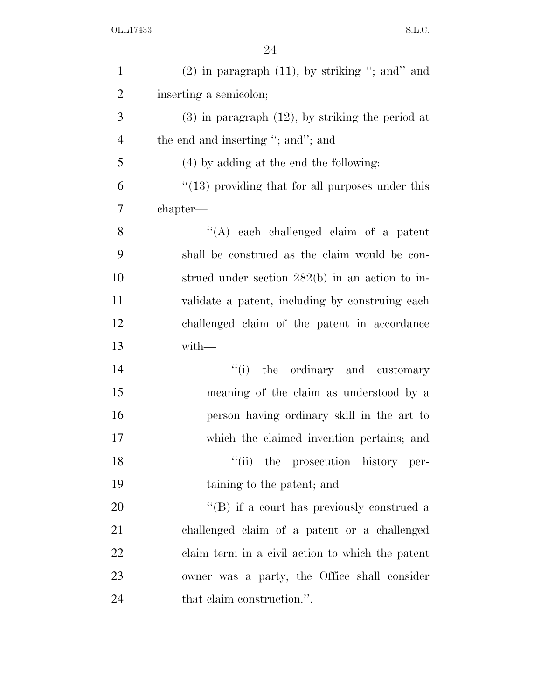| $\mathbf{1}$   | $(2)$ in paragraph $(11)$ , by striking "; and" and   |
|----------------|-------------------------------------------------------|
| $\overline{2}$ | inserting a semicolon;                                |
| 3              | $(3)$ in paragraph $(12)$ , by striking the period at |
| $\overline{4}$ | the end and inserting "; and"; and                    |
| 5              | (4) by adding at the end the following:               |
| 6              | $"(13)$ providing that for all purposes under this    |
| 7              | chapter—                                              |
| 8              | "(A) each challenged claim of a patent                |
| 9              | shall be construed as the claim would be con-         |
| 10             | strued under section $282(b)$ in an action to in-     |
| 11             | validate a patent, including by construing each       |
| 12             | challenged claim of the patent in accordance          |
| 13             | with-                                                 |
| 14             | "(i) the ordinary and customary                       |
| 15             | meaning of the claim as understood by a               |
| 16             | person having ordinary skill in the art to            |
| 17             | which the claimed invention pertains; and             |
| 18             | "(ii) the prosecution history per-                    |
| 19             | taining to the patent; and                            |
| 20             | "(B) if a court has previously construed a            |
| 21             | challenged claim of a patent or a challenged          |
| 22             | claim term in a civil action to which the patent      |
| 23             | owner was a party, the Office shall consider          |
|                |                                                       |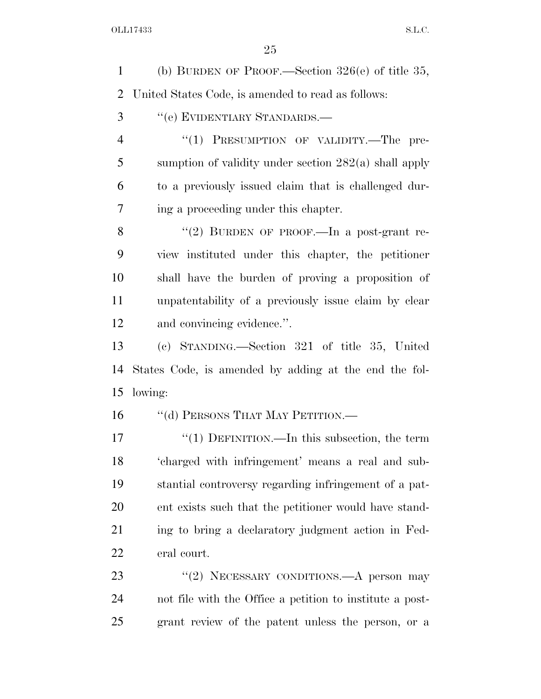(b) BURDEN OF PROOF.—Section 326(e) of title 35, United States Code, is amended to read as follows:

''(e) EVIDENTIARY STANDARDS.—

4 "(1) PRESUMPTION OF VALIDITY.—The pre- sumption of validity under section 282(a) shall apply to a previously issued claim that is challenged dur-ing a proceeding under this chapter.

8 "(2) BURDEN OF PROOF.—In a post-grant re- view instituted under this chapter, the petitioner shall have the burden of proving a proposition of unpatentability of a previously issue claim by clear and convincing evidence.''.

 (c) STANDING.—Section 321 of title 35, United States Code, is amended by adding at the end the fol-lowing:

16 "(d) PERSONS THAT MAY PETITION.—

17 "(1) DEFINITION.—In this subsection, the term 'charged with infringement' means a real and sub- stantial controversy regarding infringement of a pat- ent exists such that the petitioner would have stand- ing to bring a declaratory judgment action in Fed-eral court.

23 "(2) NECESSARY CONDITIONS.—A person may not file with the Office a petition to institute a post-grant review of the patent unless the person, or a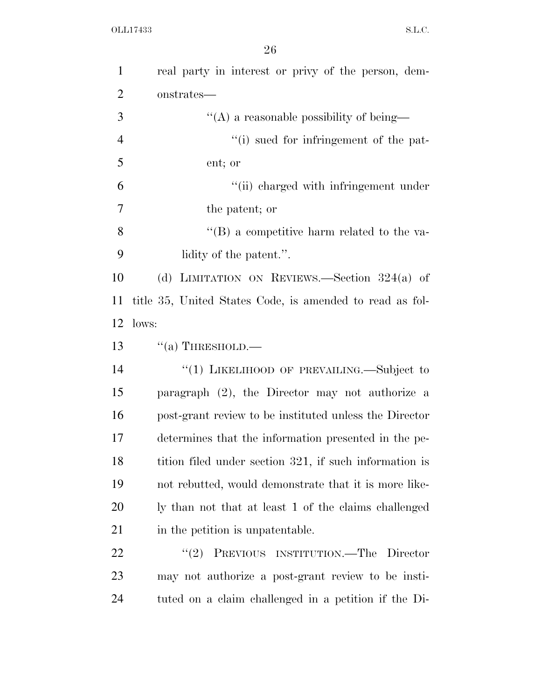| $\mathbf{1}$   | real party in interest or privy of the person, dem-      |
|----------------|----------------------------------------------------------|
| $\overline{2}$ | onstrates—                                               |
| 3              | $\lq\lq$ a reasonable possibility of being—              |
| $\overline{4}$ | "(i) sued for infringement of the pat-                   |
| 5              | ent; or                                                  |
| 6              | "(ii) charged with infringement under                    |
| 7              | the patent; or                                           |
| 8              | "(B) a competitive harm related to the va-               |
| 9              | lidity of the patent.".                                  |
| 10             | (d) LIMITATION ON REVIEWS.—Section $324(a)$ of           |
| 11             | title 35, United States Code, is amended to read as fol- |
| 12             | lows:                                                    |
| 13             | $``(a)$ THRESHOLD.—                                      |
| 14             | "(1) LIKELIHOOD OF PREVAILING.—Subject to                |
| 15             | paragraph $(2)$ , the Director may not authorize a       |
| 16             | post-grant review to be instituted unless the Director   |
| 17             | determines that the information presented in the pe-     |
| 18             | tition filed under section 321, if such information is   |
| 19             | not rebutted, would demonstrate that it is more like-    |
| 20             | ly than not that at least 1 of the claims challenged     |
| 21             | in the petition is unpatentable.                         |
| 22             | PREVIOUS INSTITUTION.—The Director<br>(2)                |
| 23             | may not authorize a post-grant review to be insti-       |
| 24             | tuted on a claim challenged in a petition if the Di-     |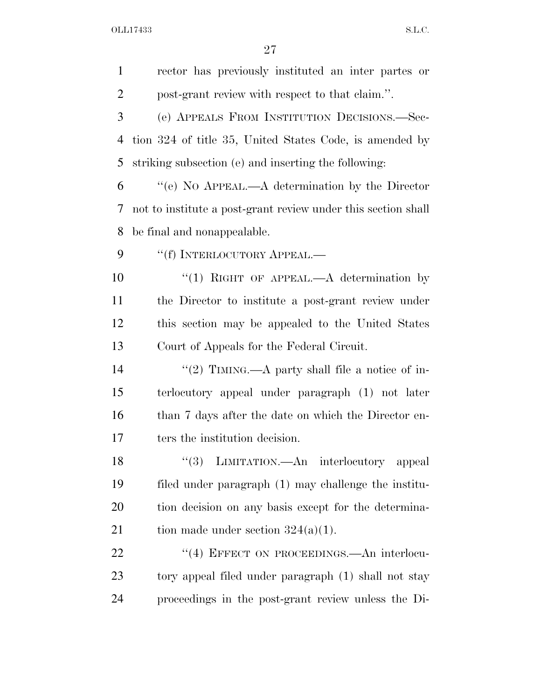| $\mathbf{1}$   | rector has previously instituted an inter partes or           |
|----------------|---------------------------------------------------------------|
| $\overline{2}$ | post-grant review with respect to that claim.".               |
| 3              | (e) APPEALS FROM INSTITUTION DECISIONS.—Sec-                  |
| 4              | tion 324 of title 35, United States Code, is amended by       |
| 5              | striking subsection (e) and inserting the following:          |
| 6              | "(e) NO APPEAL.—A determination by the Director               |
| 7              | not to institute a post-grant review under this section shall |
| 8              | be final and nonappealable.                                   |
| 9              | "(f) INTERLOCUTORY APPEAL.—                                   |
| 10             | "(1) RIGHT OF APPEAL.— $A$ determination by                   |
| 11             | the Director to institute a post-grant review under           |
| 12             | this section may be appealed to the United States             |
| 13             | Court of Appeals for the Federal Circuit.                     |
| 14             | "(2) TIMING.—A party shall file a notice of in-               |
| 15             | terlocutory appeal under paragraph (1) not later              |
| 16             | than 7 days after the date on which the Director en-          |
| 17             | ters the institution decision.                                |
| 18             | "(3) LIMITATION.—An interlocutory appeal                      |
| 19             | filed under paragraph (1) may challenge the institu-          |
| 20             | tion decision on any basis except for the determina-          |
| 21             | tion made under section $324(a)(1)$ .                         |
| 22             | "(4) EFFECT ON PROCEEDINGS.—An interlocu-                     |
| 23             | tory appeal filed under paragraph (1) shall not stay          |
| 24             | proceedings in the post-grant review unless the Di-           |
|                |                                                               |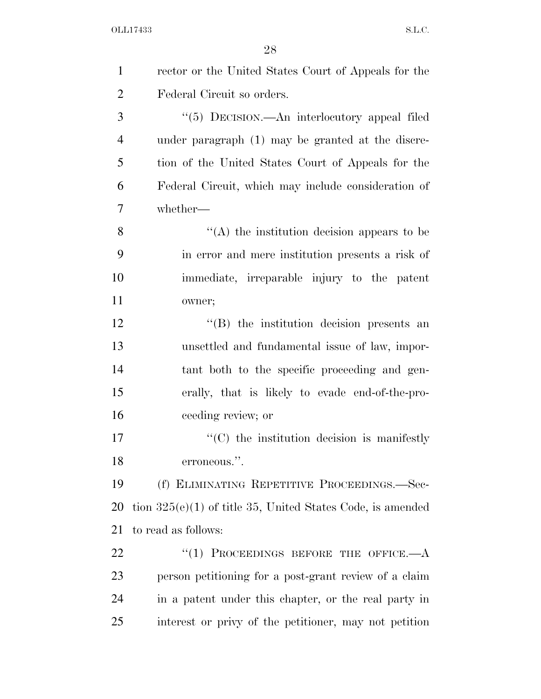| $\mathbf{1}$   | rector or the United States Court of Appeals for the         |
|----------------|--------------------------------------------------------------|
| $\overline{2}$ | Federal Circuit so orders.                                   |
| 3              | "(5) DECISION.—An interlocutory appeal filed                 |
| $\overline{4}$ | under paragraph (1) may be granted at the discre-            |
| 5              | tion of the United States Court of Appeals for the           |
| 6              | Federal Circuit, which may include consideration of          |
| 7              | whether-                                                     |
| 8              | $\lq\lq$ the institution decision appears to be              |
| 9              | in error and mere institution presents a risk of             |
| 10             | immediate, irreparable injury to the patent                  |
| 11             | owner;                                                       |
| 12             | "(B) the institution decision presents an                    |
| 13             | unsettled and fundamental issue of law, impor-               |
| 14             | tant both to the specific proceeding and gen-                |
| 15             | erally, that is likely to evade end-of-the-pro-              |
| 16             | ceeding review; or                                           |
| 17             | $\cdot$ (C) the institution decision is manifestly           |
| 18             | erroneous.'<br>,,                                            |
| 19             | (f) ELIMINATING REPETITIVE PROCEEDINGS.—Sec-                 |
| 20             | tion $325(e)(1)$ of title 35, United States Code, is amended |
| 21             | to read as follows:                                          |
| 22             | "(1) PROCEEDINGS BEFORE THE OFFICE.— $A$                     |
| 23             | person petitioning for a post-grant review of a claim        |
| 24             | in a patent under this chapter, or the real party in         |
| 25             | interest or privy of the petitioner, may not petition        |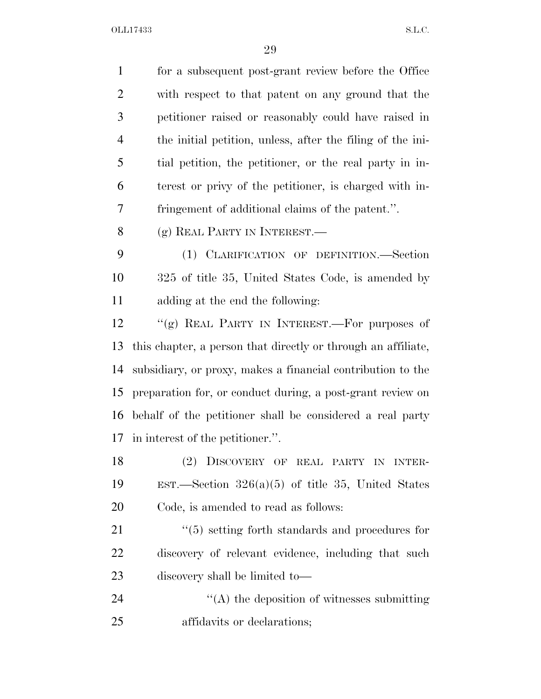| $\mathbf{1}$   | for a subsequent post-grant review before the Office          |
|----------------|---------------------------------------------------------------|
| $\overline{2}$ | with respect to that patent on any ground that the            |
| 3              | petitioner raised or reasonably could have raised in          |
| $\overline{4}$ | the initial petition, unless, after the filing of the ini-    |
| 5              | tial petition, the petitioner, or the real party in in-       |
| 6              | terest or privy of the petitioner, is charged with in-        |
| 7              | fringement of additional claims of the patent.".              |
| 8              | (g) REAL PARTY IN INTEREST.—                                  |
| 9              | (1) CLARIFICATION OF DEFINITION.—Section                      |
| 10             | 325 of title 35, United States Code, is amended by            |
| 11             | adding at the end the following:                              |
| 12             | "(g) REAL PARTY IN INTEREST.—For purposes of                  |
| 13             | this chapter, a person that directly or through an affiliate, |
| 14             | subsidiary, or proxy, makes a financial contribution to the   |
| 15             | preparation for, or conduct during, a post-grant review on    |
| 16             | behalf of the petitioner shall be considered a real party     |
| 17             | in interest of the petitioner.".                              |
| 18             | DISCOVERY OF REAL PARTY IN INTER-<br>(2)                      |
| 19             | EST.—Section $326(a)(5)$ of title 35, United States           |
| 20             | Code, is amended to read as follows:                          |
| 21             | $\cdot$ (5) setting forth standards and procedures for        |
| 22             | discovery of relevant evidence, including that such           |
| 23             | discovery shall be limited to—                                |
| 24             | $\lq\lq$ the deposition of witnesses submitting               |
| 25             | affidavits or declarations;                                   |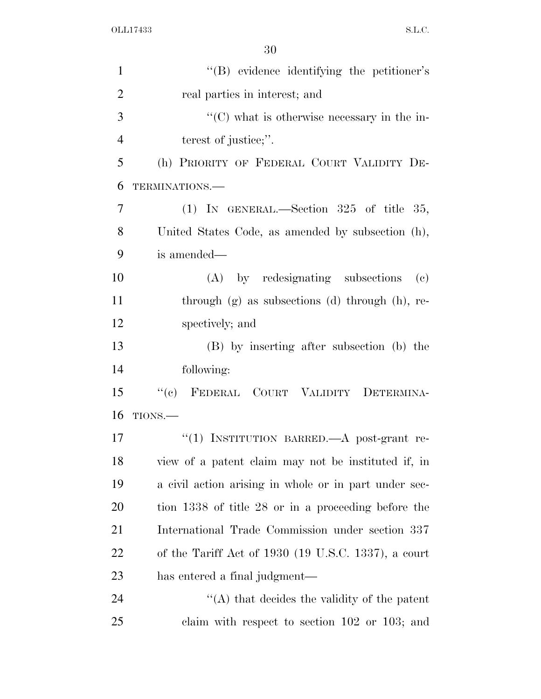| $\mathbf{1}$   | $\lq\lq(B)$ evidence identifying the petitioner's      |
|----------------|--------------------------------------------------------|
| $\overline{2}$ | real parties in interest; and                          |
| 3              | $\lq\lq$ (C) what is otherwise necessary in the in-    |
| $\overline{4}$ | terest of justice;".                                   |
| 5              | (h) PRIORITY OF FEDERAL COURT VALIDITY DE-             |
| 6              | TERMINATIONS.-                                         |
| 7              | (1) IN GENERAL.—Section $325$ of title 35,             |
| 8              | United States Code, as amended by subsection (h),      |
| 9              | is amended—                                            |
| 10             | (A) by redesignating subsections<br>(c)                |
| 11             | through $(g)$ as subsections $(d)$ through $(h)$ , re- |
| 12             | spectively; and                                        |
| 13             | (B) by inserting after subsection (b) the              |
| 14             | following:                                             |
| 15             | ``(e)<br>FEDERAL COURT VALIDITY DETERMINA-             |
| 16             | TIONS.                                                 |
| 17             | "(1) INSTITUTION BARRED. A post-grant re-              |
| 18             | view of a patent claim may not be instituted if, in    |
| 19             | a civil action arising in whole or in part under sec-  |
| 20             | tion 1338 of title 28 or in a proceeding before the    |
| 21             | International Trade Commission under section 337       |
| 22             | of the Tariff Act of 1930 (19 U.S.C. 1337), a court    |
| 23             | has entered a final judgment—                          |
| 24             | $\lq\lq$ that decides the validity of the patent       |
| 25             | claim with respect to section $102$ or $103$ ; and     |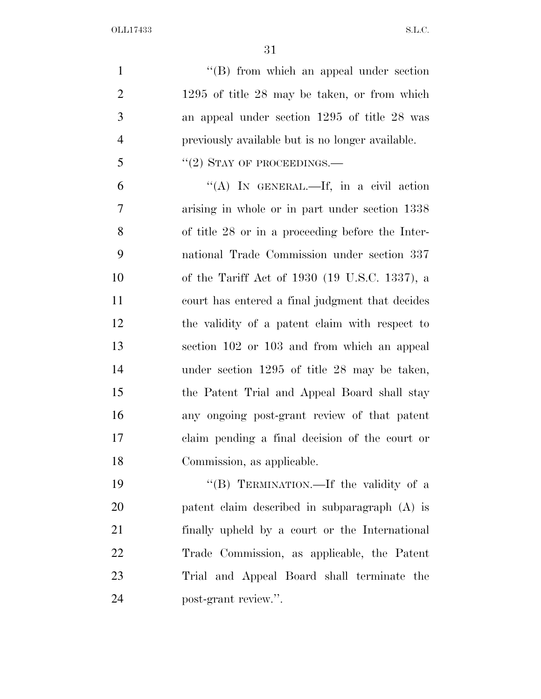1 ''(B) from which an appeal under section 1295 of title 28 may be taken, or from which an appeal under section 1295 of title 28 was previously available but is no longer available.  $\frac{1}{2}$   $\frac{1}{2}$  STAY OF PROCEEDINGS.

 "(A) In GENERAL.—If, in a civil action arising in whole or in part under section 1338 of title 28 or in a proceeding before the Inter- national Trade Commission under section 337 of the Tariff Act of 1930 (19 U.S.C. 1337), a court has entered a final judgment that decides the validity of a patent claim with respect to section 102 or 103 and from which an appeal under section 1295 of title 28 may be taken, the Patent Trial and Appeal Board shall stay any ongoing post-grant review of that patent claim pending a final decision of the court or Commission, as applicable.

19 "'(B) TERMINATION.—If the validity of a patent claim described in subparagraph (A) is finally upheld by a court or the International Trade Commission, as applicable, the Patent Trial and Appeal Board shall terminate the post-grant review.''.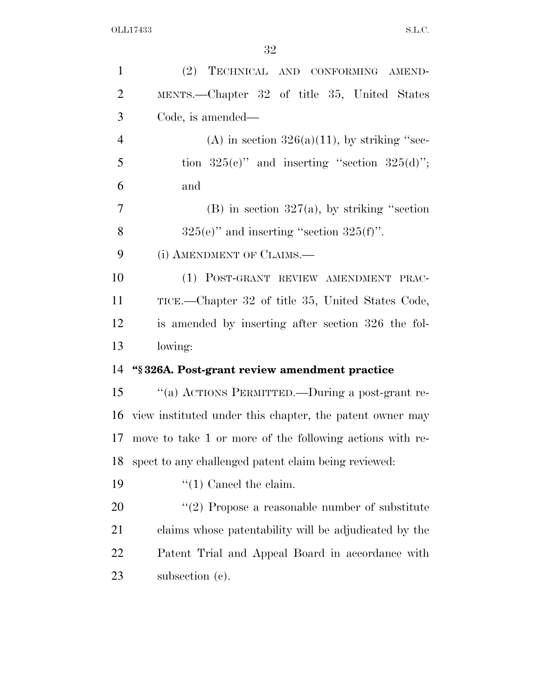| $\mathbf{1}$   | (2) TECHNICAL AND CONFORMING AMEND-                      |
|----------------|----------------------------------------------------------|
| $\overline{2}$ | MENTS.—Chapter 32 of title 35, United States             |
| 3              | Code, is amended—                                        |
| $\overline{4}$ | (A) in section $326(a)(11)$ , by striking "sec-          |
| 5              | tion $325(c)$ " and inserting "section $325(d)$ ";       |
| 6              | and                                                      |
| 7              | (B) in section $327(a)$ , by striking "section"          |
| 8              | $325(e)$ " and inserting "section $325(f)$ ".            |
| 9              | (i) AMENDMENT OF CLAIMS.                                 |
| 10             | (1) POST-GRANT REVIEW AMENDMENT PRAC-                    |
| 11             | TICE.—Chapter 32 of title 35, United States Code,        |
| 12             | is amended by inserting after section 326 the fol-       |
| 13             | lowing:                                                  |
| 14             | "§326A. Post-grant review amendment practice             |
| 15             | "(a) ACTIONS PERMITTED.—During a post-grant re-          |
| 16             | view instituted under this chapter, the patent owner may |
| 17             | move to take 1 or more of the following actions with re- |
| 18             | spect to any challenged patent claim being reviewed:     |
| 19             | $``(1)$ Cancel the claim.                                |
| 20             | $\lq(2)$ Propose a reasonable number of substitute       |
| 21             | claims whose patentability will be adjudicated by the    |
| 22             | Patent Trial and Appeal Board in accordance with         |
| 23             | subsection (c).                                          |
|                |                                                          |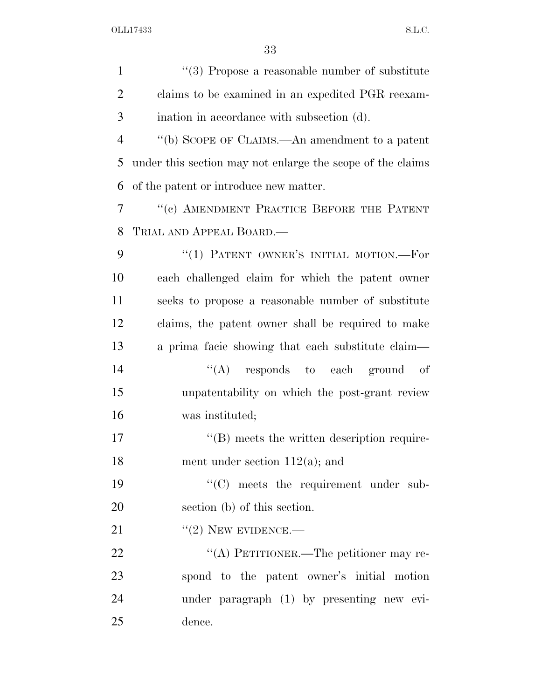| $\mathbf{1}$   | $``(3)$ Propose a reasonable number of substitute          |
|----------------|------------------------------------------------------------|
| $\overline{2}$ | claims to be examined in an expedited PGR reexam-          |
| 3              | ination in accordance with subsection (d).                 |
| $\overline{4}$ | "(b) SCOPE OF CLAIMS.—An amendment to a patent             |
| 5              | under this section may not enlarge the scope of the claims |
| 6              | of the patent or introduce new matter.                     |
| 7              | "(c) AMENDMENT PRACTICE BEFORE THE PATENT                  |
| 8              | TRIAL AND APPEAL BOARD.—                                   |
| 9              | "(1) PATENT OWNER'S INITIAL MOTION.—For                    |
| 10             | each challenged claim for which the patent owner           |
| 11             | seeks to propose a reasonable number of substitute         |
| 12             | claims, the patent owner shall be required to make         |
| 13             | a prima facie showing that each substitute claim-          |
| 14             | $\lq\lq$ responds to each ground of                        |
| 15             | unpatentability on which the post-grant review             |
| 16             | was instituted;                                            |
| 17             | $\lq\lq$ meets the written description require-            |
| 18             | ment under section $112(a)$ ; and                          |
| 19             | "(C) meets the requirement under sub-                      |
| 20             | section (b) of this section.                               |
| 21             | $``(2)$ NEW EVIDENCE.—                                     |
| 22             | "(A) PETITIONER.—The petitioner may re-                    |
| 23             | spond to the patent owner's initial motion                 |
| 24             | under paragraph (1) by presenting new evi-                 |
| 25             | dence.                                                     |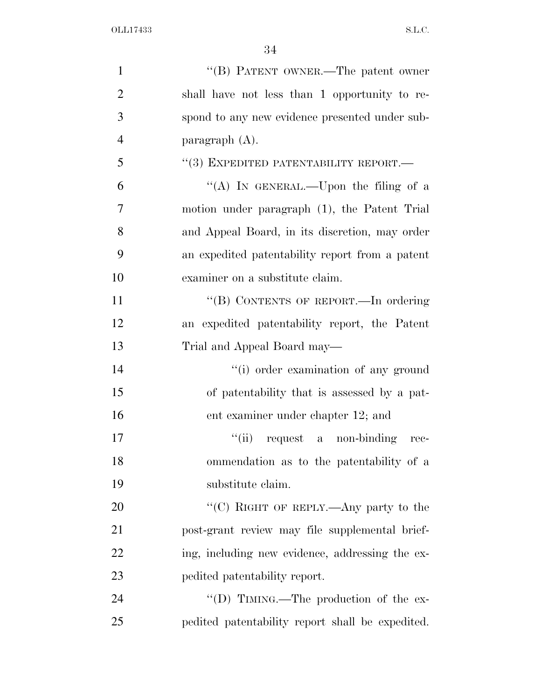| $\mathbf{1}$   | "(B) PATENT OWNER.—The patent owner              |
|----------------|--------------------------------------------------|
| $\overline{2}$ | shall have not less than 1 opportunity to re-    |
| 3              | spond to any new evidence presented under sub-   |
| $\overline{4}$ | paragraph $(A)$ .                                |
| 5              | $(3)$ EXPEDITED PATENTABILITY REPORT.—           |
| 6              | "(A) IN GENERAL.—Upon the filing of a            |
| $\tau$         | motion under paragraph (1), the Patent Trial     |
| 8              | and Appeal Board, in its discretion, may order   |
| 9              | an expedited patentability report from a patent  |
| 10             | examiner on a substitute claim.                  |
| 11             | "(B) CONTENTS OF REPORT.-In ordering             |
| 12             | an expedited patentability report, the Patent    |
| 13             | Trial and Appeal Board may—                      |
| 14             | "(i) order examination of any ground             |
| 15             | of patentability that is assessed by a pat-      |
| 16             | ent examiner under chapter 12; and               |
| 17             | ``(ii)<br>request a non-binding<br>rec-          |
| 18             | ommendation as to the patentability of a         |
| 19             | substitute claim.                                |
| 20             | "(C) RIGHT OF REPLY.—Any party to the            |
| 21             | post-grant review may file supplemental brief-   |
| 22             | ing, including new evidence, addressing the ex-  |
| 23             | pedited patentability report.                    |
| 24             | "(D) TIMING.—The production of the ex-           |
| 25             | pedited patentability report shall be expedited. |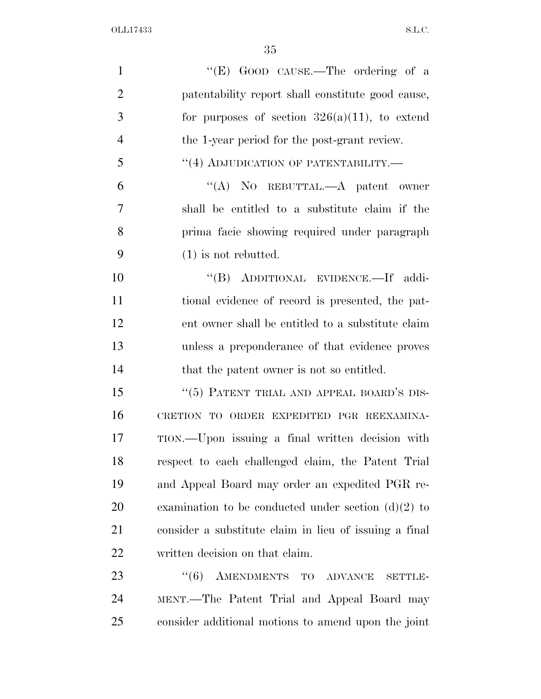| $\mathbf{1}$   | "(E) GOOD CAUSE.—The ordering of a                     |
|----------------|--------------------------------------------------------|
| $\overline{2}$ | patentability report shall constitute good cause,      |
| 3              | for purposes of section $326(a)(11)$ , to extend       |
| 4              | the 1-year period for the post-grant review.           |
| 5              | "(4) ADJUDICATION OF PATENTABILITY.-                   |
| 6              | "(A) NO REBUTTAL.—A patent owner                       |
| 7              | shall be entitled to a substitute claim if the         |
| 8              | prima facie showing required under paragraph           |
| 9              | $(1)$ is not rebutted.                                 |
| 10             | "(B) ADDITIONAL EVIDENCE.-If addi-                     |
| 11             | tional evidence of record is presented, the pat-       |
| 12             | ent owner shall be entitled to a substitute claim      |
| 13             | unless a preponderance of that evidence proves         |
| 14             | that the patent owner is not so entitled.              |
| 15             | "(5) PATENT TRIAL AND APPEAL BOARD'S DIS-              |
| 16             | CRETION TO ORDER EXPEDITED PGR REEXAMINA-              |
| 17             | TION.—Upon issuing a final written decision with       |
| 18             | respect to each challenged claim, the Patent Trial     |
| 19             | and Appeal Board may order an expedited PGR re-        |
| 20             | examination to be conducted under section $(d)(2)$ to  |
| 21             | consider a substitute claim in lieu of issuing a final |
| 22             | written decision on that claim.                        |
| 23             | AMENDMENTS TO ADVANCE<br>(6)<br><b>SETTLE-</b>         |
| 24             | MENT.—The Patent Trial and Appeal Board may            |
| 25             | consider additional motions to amend upon the joint    |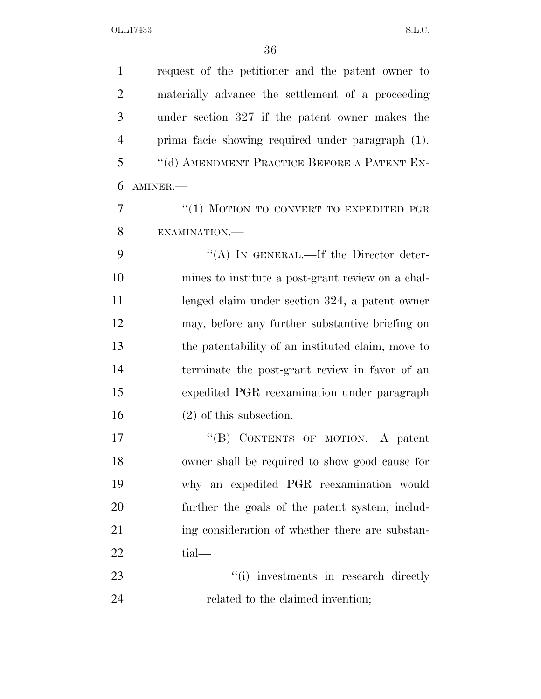request of the petitioner and the patent owner to materially advance the settlement of a proceeding under section 327 if the patent owner makes the prima facie showing required under paragraph (1). ''(d) AMENDMENT PRACTICE BEFORE A PATENT EX- AMINER.— 7 "(1) MOTION TO CONVERT TO EXPEDITED PGR EXAMINATION.— 9 "(A) IN GENERAL.—If the Director deter- mines to institute a post-grant review on a chal- lenged claim under section 324, a patent owner may, before any further substantive briefing on the patentability of an instituted claim, move to terminate the post-grant review in favor of an expedited PGR reexamination under paragraph (2) of this subsection. 17 "'(B) CONTENTS OF MOTION.—A patent owner shall be required to show good cause for why an expedited PGR reexamination would further the goals of the patent system, includ-21 ing consideration of whether there are substan-22 tial— 23 ''(i) investments in research directly 24 related to the claimed invention;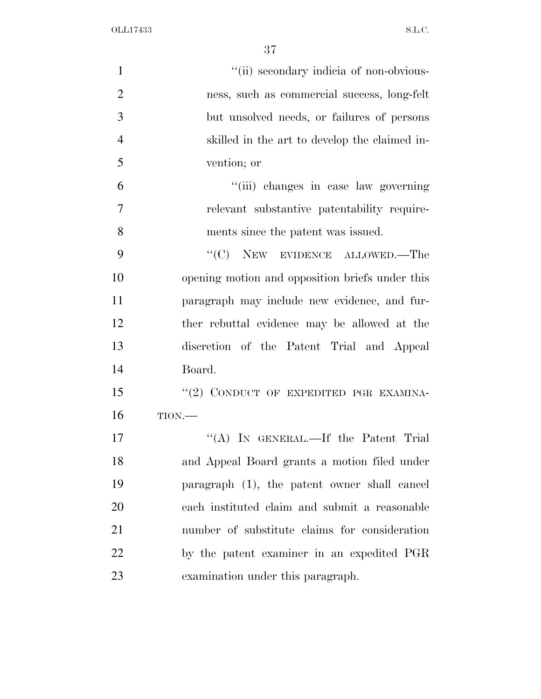| $\mathbf{1}$   | "(ii) secondary indicia of non-obvious-         |
|----------------|-------------------------------------------------|
| $\overline{2}$ | ness, such as commercial success, long-felt     |
| 3              | but unsolved needs, or failures of persons      |
| $\overline{4}$ | skilled in the art to develop the claimed in-   |
| 5              | vention; or                                     |
| 6              | "(iii) changes in case law governing            |
| $\overline{7}$ | relevant substantive patentability require-     |
| 8              | ments since the patent was issued.              |
| 9              | "(C) NEW EVIDENCE ALLOWED.—The                  |
| 10             | opening motion and opposition briefs under this |
| 11             | paragraph may include new evidence, and fur-    |
| 12             | ther rebuttal evidence may be allowed at the    |
| 13             | discretion of the Patent Trial and Appeal       |
| 14             | Board.                                          |
| 15             | "(2) CONDUCT OF EXPEDITED PGR EXAMINA-          |
| 16             | TION.                                           |
| 17             | "(A) IN GENERAL.—If the Patent Trial            |
| 18             | and Appeal Board grants a motion filed under    |
| 19             | paragraph (1), the patent owner shall cancel    |
| 20             | each instituted claim and submit a reasonable   |
| 21             | number of substitute claims for consideration   |
| 22             | by the patent examiner in an expedited PGR      |
| 23             | examination under this paragraph.               |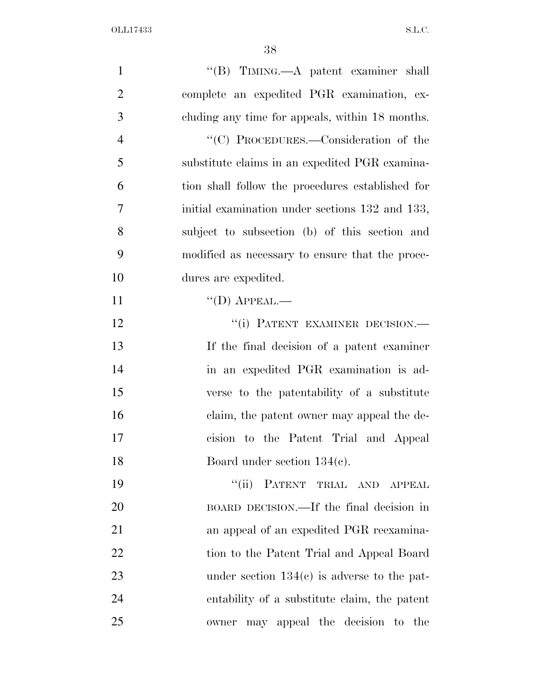| $\mathbf{1}$   | "(B) TIMING.—A patent examiner shall             |
|----------------|--------------------------------------------------|
| $\overline{2}$ | complete an expedited PGR examination, ex-       |
| 3              | cluding any time for appeals, within 18 months.  |
| $\overline{4}$ | "(C) PROCEDURES.—Consideration of the            |
| 5              | substitute claims in an expedited PGR examina-   |
| 6              | tion shall follow the procedures established for |
| $\overline{7}$ | initial examination under sections 132 and 133,  |
| 8              | subject to subsection (b) of this section and    |
| 9              | modified as necessary to ensure that the proce-  |
| 10             | dures are expedited.                             |
| 11             | $\lq\lq$ (D) APPEAL.—                            |
| 12             | "(i) PATENT EXAMINER DECISION.-                  |
| 13             | If the final decision of a patent examiner       |
| 14             | in an expedited PGR examination is ad-           |
| 15             | verse to the patentability of a substitute       |
| 16             | claim, the patent owner may appeal the de-       |
| 17             | cision to the Patent Trial and Appeal            |
| 18             | Board under section $134(c)$ .                   |
| 19             | "(ii) PATENT TRIAL AND<br>APPEAL                 |
| 20             | BOARD DECISION.—If the final decision in         |
| 21             | an appeal of an expedited PGR reexamina-         |
| 22             | tion to the Patent Trial and Appeal Board        |
| 23             | under section $134(c)$ is adverse to the pat-    |
| 24             | entability of a substitute claim, the patent     |
| 25             | owner may appeal the decision to the             |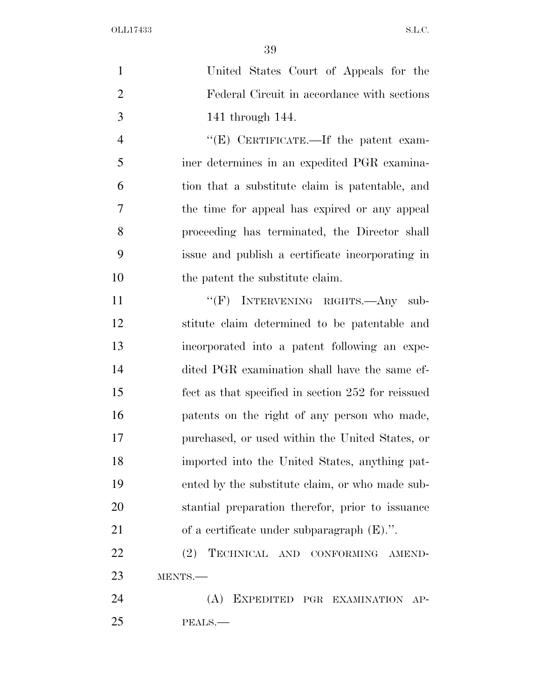| $\mathbf{1}$   | United States Court of Appeals for the             |
|----------------|----------------------------------------------------|
| $\overline{2}$ | Federal Circuit in accordance with sections        |
| 3              | 141 through 144.                                   |
| $\overline{4}$ | "(E) CERTIFICATE.—If the patent exam-              |
| 5              | iner determines in an expedited PGR examina-       |
| 6              | tion that a substitute claim is patentable, and    |
| $\overline{7}$ | the time for appeal has expired or any appeal      |
| 8              | proceeding has terminated, the Director shall      |
| 9              | issue and publish a certificate incorporating in   |
| 10             | the patent the substitute claim.                   |
| 11             | "(F) INTERVENING RIGHTS.—Any sub-                  |
| 12             | stitute claim determined to be patentable and      |
| 13             | incorporated into a patent following an expe-      |
| 14             | dited PGR examination shall have the same ef-      |
| 15             | fect as that specified in section 252 for reissued |
| 16             | patents on the right of any person who made,       |
| 17             | purchased, or used within the United States, or    |
| 18             | imported into the United States, anything pat-     |
| 19             | ented by the substitute claim, or who made sub-    |
| 20             | stantial preparation therefor, prior to issuance   |
| 21             | of a certificate under subparagraph $(E)$ .".      |
| 22             | TECHNICAL AND CONFORMING AMEND-<br>(2)             |
| 23             | MENTS.-                                            |
| 24             | (A)<br>EXPEDITED PGR EXAMINATION AP-               |
| 25             | PEALS.                                             |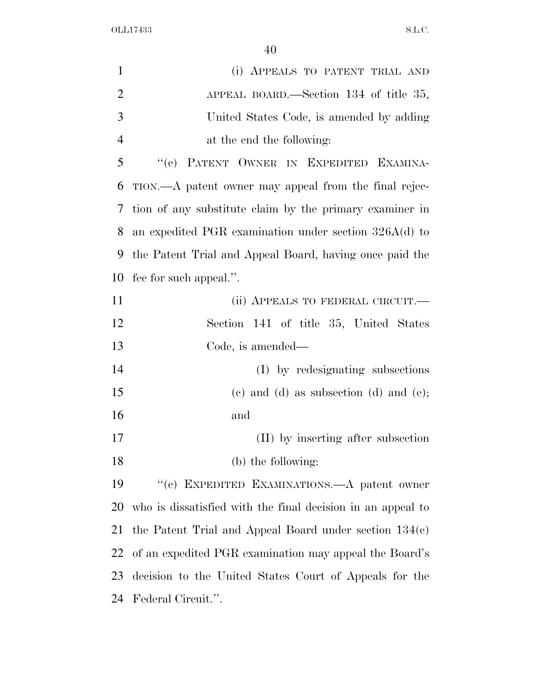| $\mathbf{1}$   | (i) APPEALS TO PATENT TRIAL AND                             |
|----------------|-------------------------------------------------------------|
| $\overline{2}$ | APPEAL BOARD.—Section $134$ of title 35,                    |
| 3              | United States Code, is amended by adding                    |
| $\overline{4}$ | at the end the following:                                   |
| 5              | PATENT OWNER IN EXPEDITED EXAMINA-<br>``(e)                 |
| 6              | TION.—A patent owner may appeal from the final rejec-       |
| 7              | tion of any substitute claim by the primary examiner in     |
| 8              | an expedited PGR examination under section $326A(d)$ to     |
| 9              | the Patent Trial and Appeal Board, having once paid the     |
| 10             | fee for such appeal.".                                      |
| 11             | (ii) APPEALS TO FEDERAL CIRCUIT.—                           |
| 12             | Section 141 of title 35, United States                      |
| 13             | Code, is amended—                                           |
| 14             | (I) by redesignating subsections                            |
| 15             | $(e)$ and $(d)$ as subsection $(d)$ and $(e)$ ;             |
| 16             | and                                                         |
| 17             | (II) by inserting after subsection                          |
| 18             | (b) the following:                                          |
| 19             | "(c) EXPEDITED EXAMINATIONS.—A patent owner                 |
| 20             | who is dissatisfied with the final decision in an appeal to |
| 21             | the Patent Trial and Appeal Board under section $134(c)$    |
| 22             | of an expedited PGR examination may appeal the Board's      |
| 23             | decision to the United States Court of Appeals for the      |
| 24             | Federal Circuit.".                                          |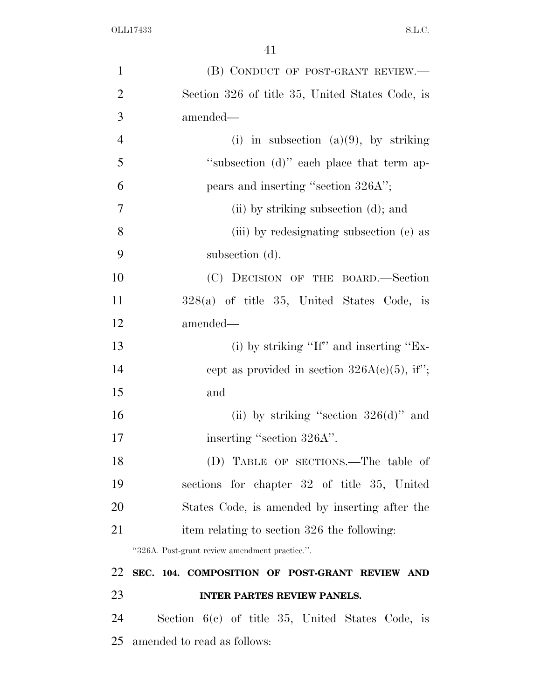| $\mathbf{1}$   | (B) CONDUCT OF POST-GRANT REVIEW.—                 |
|----------------|----------------------------------------------------|
| $\overline{2}$ | Section 326 of title 35, United States Code, is    |
| 3              | amended-                                           |
| $\overline{4}$ | (i) in subsection (a)(9), by striking              |
| 5              | "subsection (d)" each place that term ap-          |
| 6              | pears and inserting "section 326A";                |
| 7              | (ii) by striking subsection (d); and               |
| 8              | (iii) by redesignating subsection (e) as           |
| 9              | subsection (d).                                    |
| 10             | (C) DECISION OF THE BOARD.—Section                 |
| 11             | $328(a)$ of title 35, United States Code, is       |
| 12             | amended—                                           |
| 13             | (i) by striking "If" and inserting " $Ex-$         |
| 14             | cept as provided in section $326A(c)(5)$ , if";    |
| 15             | and                                                |
| 16             | (ii) by striking "section $326(d)$ " and           |
| 17             | inserting "section 326A".                          |
| 18             | (D) TABLE OF SECTIONS.—The table of                |
| 19             | sections for chapter 32 of title 35, United        |
| 20             | States Code, is amended by inserting after the     |
| 21             | item relating to section 326 the following:        |
|                | "326A. Post-grant review amendment practice.".     |
| 22             | SEC. 104. COMPOSITION OF POST-GRANT REVIEW AND     |
| 23             | <b>INTER PARTES REVIEW PANELS.</b>                 |
| 24             | Section $6(c)$ of title 35, United States Code, is |
| 25             | amended to read as follows:                        |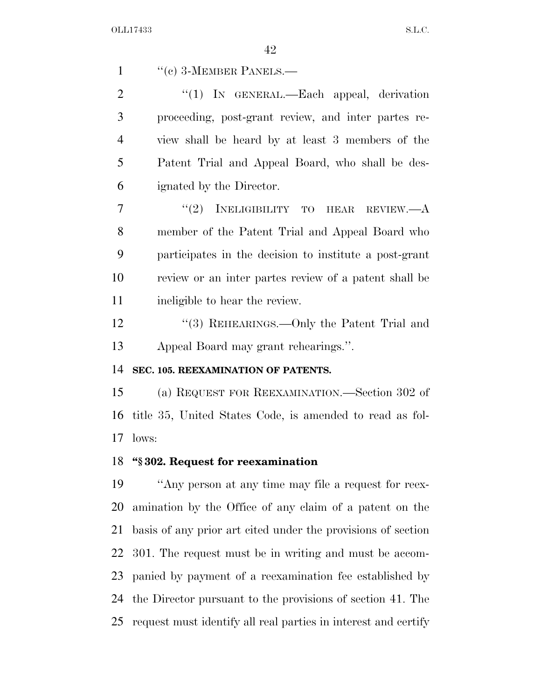"(c) 3-MEMBER PANELS.—

2 "(1) IN GENERAL.—Each appeal, derivation proceeding, post-grant review, and inter partes re- view shall be heard by at least 3 members of the Patent Trial and Appeal Board, who shall be des-ignated by the Director.

 "(2) INELIGIBILITY TO HEAR REVIEW.—A member of the Patent Trial and Appeal Board who participates in the decision to institute a post-grant review or an inter partes review of a patent shall be ineligible to hear the review.

12 "(3) REHEARINGS.—Only the Patent Trial and Appeal Board may grant rehearings.''.

### **SEC. 105. REEXAMINATION OF PATENTS.**

 (a) REQUEST FOR REEXAMINATION.—Section 302 of title 35, United States Code, is amended to read as fol-lows:

### **''§ 302. Request for reexamination**

 ''Any person at any time may file a request for reex- amination by the Office of any claim of a patent on the basis of any prior art cited under the provisions of section 301. The request must be in writing and must be accom- panied by payment of a reexamination fee established by the Director pursuant to the provisions of section 41. The request must identify all real parties in interest and certify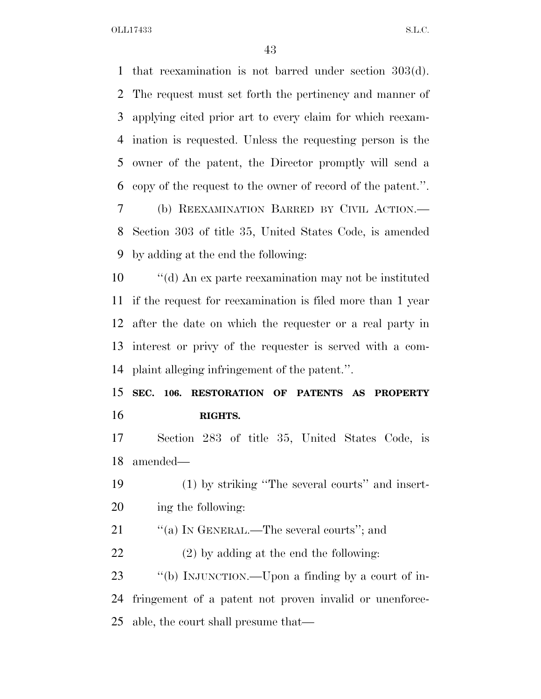that reexamination is not barred under section 303(d). The request must set forth the pertinency and manner of applying cited prior art to every claim for which reexam- ination is requested. Unless the requesting person is the owner of the patent, the Director promptly will send a copy of the request to the owner of record of the patent.''. (b) REEXAMINATION BARRED BY CIVIL ACTION.— Section 303 of title 35, United States Code, is amended by adding at the end the following:

 ''(d) An ex parte reexamination may not be instituted if the request for reexamination is filed more than 1 year after the date on which the requester or a real party in interest or privy of the requester is served with a com-plaint alleging infringement of the patent.''.

 **SEC. 106. RESTORATION OF PATENTS AS PROPERTY RIGHTS.** 

 Section 283 of title 35, United States Code, is amended—

 (1) by striking ''The several courts'' and insert-ing the following:

21 ""(a) IN GENERAL.—The several courts"; and

(2) by adding at the end the following:

 ''(b) INJUNCTION.—Upon a finding by a court of in- fringement of a patent not proven invalid or unenforce-able, the court shall presume that—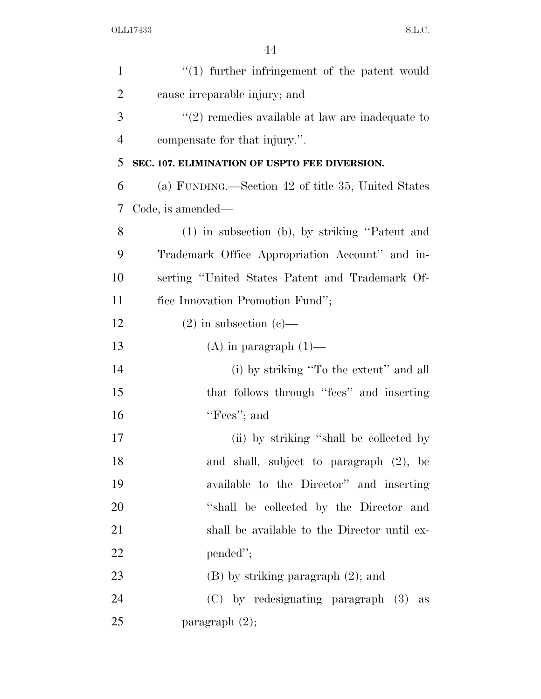| $\mathbf{1}$   | $\lq(1)$ further infringement of the patent would    |
|----------------|------------------------------------------------------|
| $\overline{2}$ | cause irreparable injury; and                        |
| 3              | $\lq(2)$ remedies available at law are inadequate to |
| $\overline{4}$ | compensate for that injury.".                        |
| 5              | SEC. 107. ELIMINATION OF USPTO FEE DIVERSION.        |
| 6              | (a) FUNDING.—Section 42 of title 35, United States   |
| 7              | Code, is amended—                                    |
| 8              | (1) in subsection (b), by striking "Patent and       |
| 9              | Trademark Office Appropriation Account" and in-      |
| 10             | serting "United States Patent and Trademark Of-      |
| 11             | fice Innovation Promotion Fund";                     |
| 12             | $(2)$ in subsection $(e)$ —                          |
| 13             | $(A)$ in paragraph $(1)$ —                           |
| 14             | (i) by striking "To the extent" and all              |
| 15             | that follows through "fees" and inserting            |
| 16             | "Fees"; and                                          |
| 17             | (ii) by striking "shall be collected by              |
| 18             | and shall, subject to paragraph (2), be              |
| 19             | available to the Director" and inserting             |
| 20             | "shall be collected by the Director and              |
| 21             | shall be available to the Director until ex-         |
| 22             | pended";                                             |
| 23             | $(B)$ by striking paragraph $(2)$ ; and              |
| 24             | (C) by redesignating paragraph (3) as                |
| 25             | paragraph $(2)$ ;                                    |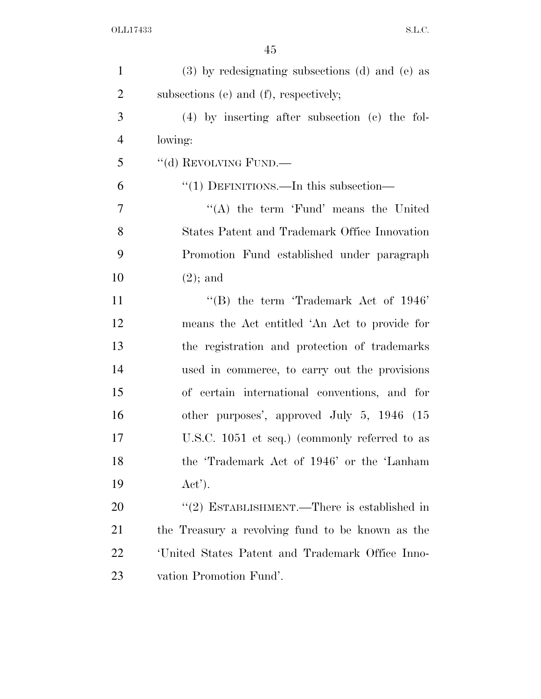| $\mathbf{1}$   | $(3)$ by redesignating subsections $(d)$ and $(e)$ as |
|----------------|-------------------------------------------------------|
| $\overline{2}$ | subsections (e) and (f), respectively;                |
| 3              | $(4)$ by inserting after subsection (c) the fol-      |
| $\overline{4}$ | lowing:                                               |
| 5              | "(d) REVOLVING FUND.—                                 |
| 6              | "(1) DEFINITIONS.—In this subsection—                 |
| 7              | "(A) the term 'Fund' means the United                 |
| 8              | States Patent and Trademark Office Innovation         |
| 9              | Promotion Fund established under paragraph            |
| 10             | $(2)$ ; and                                           |
| 11             | "(B) the term 'Trademark Act of $1946$ "              |
| 12             | means the Act entitled 'An Act to provide for         |
| 13             | the registration and protection of trademarks         |
| 14             | used in commerce, to carry out the provisions         |
| 15             | of certain international conventions, and for         |
| 16             | other purposes', approved July 5, 1946 (15            |
| 17             | U.S.C. 1051 et seq.) (commonly referred to as         |
| 18             | the 'Trademark Act of 1946' or the 'Lanham'           |
| 19             | Act'.                                                 |
| 20             | " $(2)$ ESTABLISHMENT.—There is established in        |
| 21             | the Treasury a revolving fund to be known as the      |
| 22             | 'United States Patent and Trademark Office Inno-      |
| 23             | vation Promotion Fund'.                               |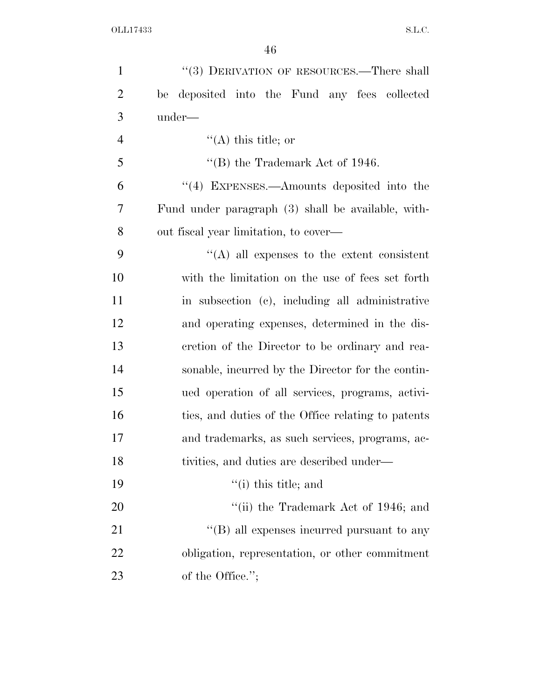| $\mathbf{1}$   | "(3) DERIVATION OF RESOURCES.—There shall          |
|----------------|----------------------------------------------------|
| $\overline{2}$ | be deposited into the Fund any fees collected      |
| 3              | under—                                             |
| $\overline{4}$ | $\lq($ A) this title; or                           |
| 5              | "(B) the Trademark Act of 1946.                    |
| 6              | "(4) EXPENSES.—Amounts deposited into the          |
| 7              | Fund under paragraph (3) shall be available, with- |
| 8              | out fiscal year limitation, to cover—              |
| 9              | $\lq\lq$ all expenses to the extent consistent     |
| 10             | with the limitation on the use of fees set forth   |
| 11             | in subsection (c), including all administrative    |
| 12             | and operating expenses, determined in the dis-     |
| 13             | cretion of the Director to be ordinary and rea-    |
| 14             | sonable, incurred by the Director for the contin-  |
| 15             | ued operation of all services, programs, activi-   |
| 16             | ties, and duties of the Office relating to patents |
| 17             | and trademarks, as such services, programs, ac-    |
| 18             | tivities, and duties are described under—          |
| 19             | $f'(i)$ this title; and                            |
| 20             | "(ii) the Trademark Act of $1946$ ; and            |
| 21             | "(B) all expenses incurred pursuant to any         |
| 22             | obligation, representation, or other commitment    |
| 23             | of the Office.";                                   |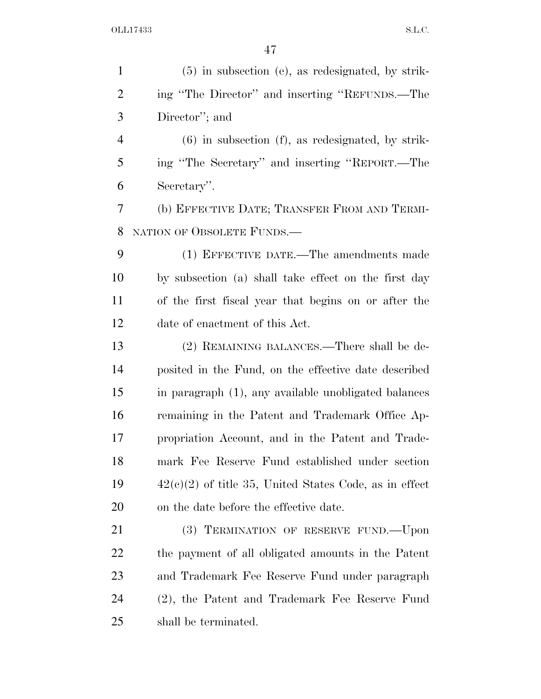| $\mathbf{1}$   | $(5)$ in subsection (e), as redesignated, by strik-      |
|----------------|----------------------------------------------------------|
| $\overline{2}$ | ing "The Director" and inserting "REFUNDS.—The           |
| 3              | Director"; and                                           |
| $\overline{4}$ | $(6)$ in subsection $(f)$ , as redesignated, by strik-   |
| 5              | ing "The Secretary" and inserting "REPORT.—The           |
| 6              | Secretary".                                              |
| 7              | (b) EFFECTIVE DATE; TRANSFER FROM AND TERMI-             |
| 8              | NATION OF OBSOLETE FUNDS.                                |
| 9              | (1) EFFECTIVE DATE.—The amendments made                  |
| 10             | by subsection (a) shall take effect on the first day     |
| 11             | of the first fiscal year that begins on or after the     |
| 12             | date of enactment of this Act.                           |
| 13             | (2) REMAINING BALANCES.—There shall be de-               |
| 14             | posited in the Fund, on the effective date described     |
| 15             | in paragraph (1), any available unobligated balances     |
| 16             | remaining in the Patent and Trademark Office Ap-         |
| 17             | propriation Account, and in the Patent and Trade-        |
| 18             | mark Fee Reserve Fund established under section          |
| 19             | $42(e)(2)$ of title 35, United States Code, as in effect |
| 20             | on the date before the effective date.                   |
| 21             | (3) TERMINATION OF RESERVE FUND.—Upon                    |
| 22             | the payment of all obligated amounts in the Patent       |
| 23             | and Trademark Fee Reserve Fund under paragraph           |
| 24             | (2), the Patent and Trademark Fee Reserve Fund           |
| 25             | shall be terminated.                                     |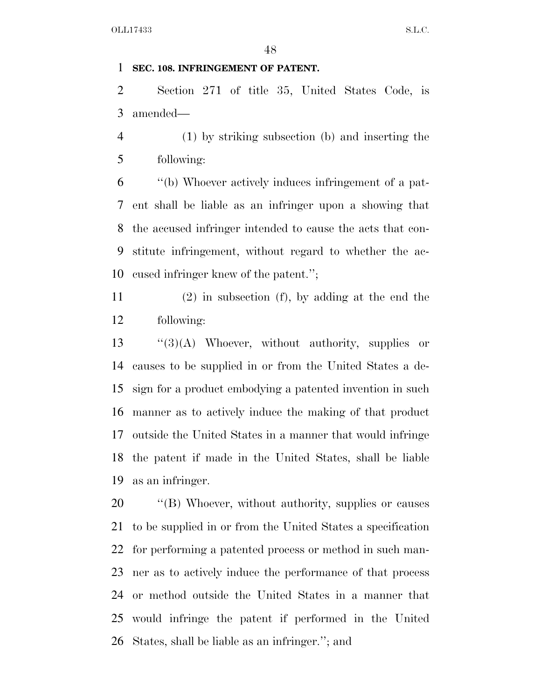### **SEC. 108. INFRINGEMENT OF PATENT.**

 Section 271 of title 35, United States Code, is amended—

 (1) by striking subsection (b) and inserting the following:

 ''(b) Whoever actively induces infringement of a pat- ent shall be liable as an infringer upon a showing that the accused infringer intended to cause the acts that con- stitute infringement, without regard to whether the ac-cused infringer knew of the patent.'';

 (2) in subsection (f), by adding at the end the following:

 ''(3)(A) Whoever, without authority, supplies or causes to be supplied in or from the United States a de- sign for a product embodying a patented invention in such manner as to actively induce the making of that product outside the United States in a manner that would infringe the patent if made in the United States, shall be liable as an infringer.

 ''(B) Whoever, without authority, supplies or causes to be supplied in or from the United States a specification for performing a patented process or method in such man- ner as to actively induce the performance of that process or method outside the United States in a manner that would infringe the patent if performed in the United States, shall be liable as an infringer.''; and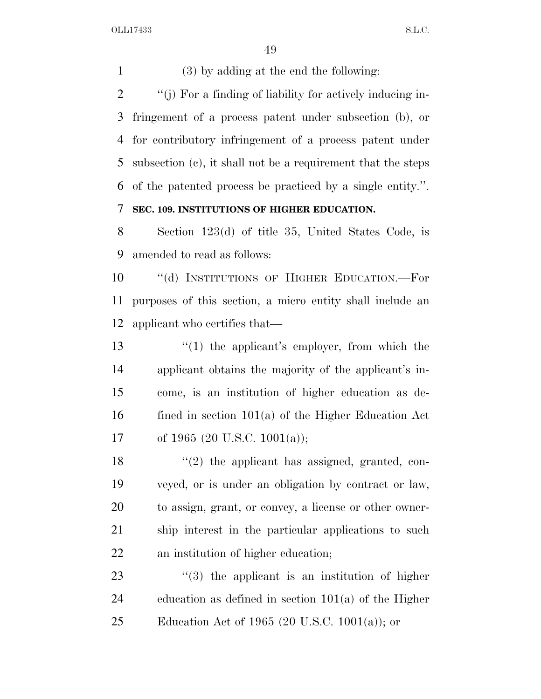(3) by adding at the end the following: ''(j) For a finding of liability for actively inducing in- fringement of a process patent under subsection (b), or for contributory infringement of a process patent under subsection (c), it shall not be a requirement that the steps of the patented process be practiced by a single entity.''. **SEC. 109. INSTITUTIONS OF HIGHER EDUCATION.** 

 Section 123(d) of title 35, United States Code, is amended to read as follows:

10 "(d) INSTITUTIONS OF HIGHER EDUCATION.—For purposes of this section, a micro entity shall include an applicant who certifies that—

 ''(1) the applicant's employer, from which the applicant obtains the majority of the applicant's in- come, is an institution of higher education as de- fined in section 101(a) of the Higher Education Act of 1965 (20 U.S.C. 1001(a));

18 ''(2) the applicant has assigned, granted, con- veyed, or is under an obligation by contract or law, to assign, grant, or convey, a license or other owner- ship interest in the particular applications to such an institution of higher education;

23  $\frac{1}{2}$  (3) the applicant is an institution of higher education as defined in section 101(a) of the Higher 25 Education Act of 1965 (20 U.S.C. 1001(a)); or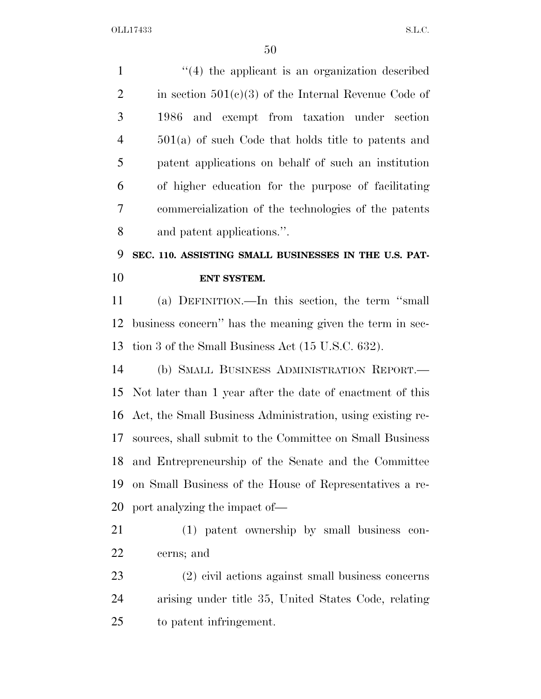| $\mathbf{1}$   | $\cdot$ (4) the applicant is an organization described     |
|----------------|------------------------------------------------------------|
| $\overline{2}$ | in section $501(c)(3)$ of the Internal Revenue Code of     |
| 3              | and exempt from taxation under section<br>1986             |
| $\overline{4}$ | $501(a)$ of such Code that holds title to patents and      |
| 5              | patent applications on behalf of such an institution       |
| 6              | of higher education for the purpose of facilitating        |
| 7              | commercialization of the technologies of the patents       |
| 8              | and patent applications.".                                 |
| 9              | SEC. 110. ASSISTING SMALL BUSINESSES IN THE U.S. PAT-      |
| 10             | ENT SYSTEM.                                                |
| 11             | (a) DEFINITION.—In this section, the term "small           |
| 12             | business concern" has the meaning given the term in sec-   |
| 13             | tion 3 of the Small Business Act (15 U.S.C. 632).          |
| 14             | (b) SMALL BUSINESS ADMINISTRATION REPORT.                  |
| 15             | Not later than 1 year after the date of enactment of this  |
| 16             | Act, the Small Business Administration, using existing re- |
| 17             | sources, shall submit to the Committee on Small Business   |
| 18             | and Entrepreneurship of the Senate and the Committee       |
| 19             | on Small Business of the House of Representatives a re-    |
| 20             | port analyzing the impact of—                              |
| 21             | (1) patent ownership by small business con-                |
| 22             | cerns; and                                                 |
| 23             | (2) civil actions against small business concerns          |
| 24             | arising under title 35, United States Code, relating       |
| 25             | to patent infringement.                                    |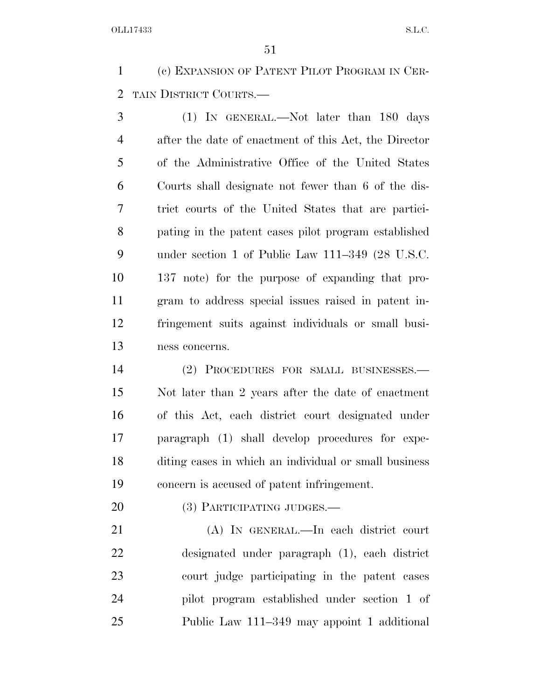(c) EXPANSION OF PATENT PILOT PROGRAM IN CER-TAIN DISTRICT COURTS.—

 (1) IN GENERAL.—Not later than 180 days after the date of enactment of this Act, the Director of the Administrative Office of the United States Courts shall designate not fewer than 6 of the dis- trict courts of the United States that are partici- pating in the patent cases pilot program established under section 1 of Public Law 111–349 (28 U.S.C. 137 note) for the purpose of expanding that pro- gram to address special issues raised in patent in- fringement suits against individuals or small busi-ness concerns.

 (2) PROCEDURES FOR SMALL BUSINESSES.— Not later than 2 years after the date of enactment of this Act, each district court designated under paragraph (1) shall develop procedures for expe- diting cases in which an individual or small business concern is accused of patent infringement.

20 (3) PARTICIPATING JUDGES.—

 (A) IN GENERAL.—In each district court designated under paragraph (1), each district court judge participating in the patent cases pilot program established under section 1 of Public Law 111–349 may appoint 1 additional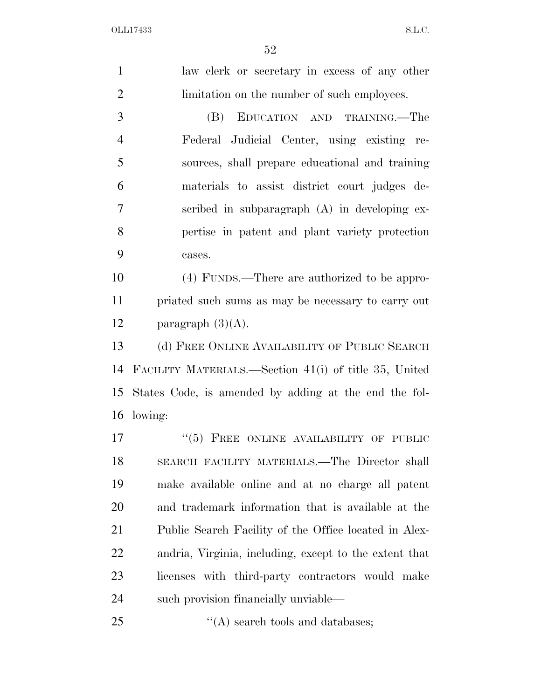law clerk or secretary in excess of any other limitation on the number of such employees. (B) EDUCATION AND TRAINING.—The Federal Judicial Center, using existing re- sources, shall prepare educational and training materials to assist district court judges de- scribed in subparagraph (A) in developing ex- pertise in patent and plant variety protection cases. (4) FUNDS.—There are authorized to be appro- priated such sums as may be necessary to carry out 12 paragraph  $(3)(A)$ . (d) FREE ONLINE AVAILABILITY OF PUBLIC SEARCH FACILITY MATERIALS.—Section 41(i) of title 35, United States Code, is amended by adding at the end the fol-lowing:

17 "(5) FREE ONLINE AVAILABILITY OF PUBLIC SEARCH FACILITY MATERIALS.—The Director shall make available online and at no charge all patent and trademark information that is available at the Public Search Facility of the Office located in Alex- andria, Virginia, including, except to the extent that licenses with third-party contractors would make such provision financially unviable—

25  $\frac{1}{2}$  (A) search tools and databases;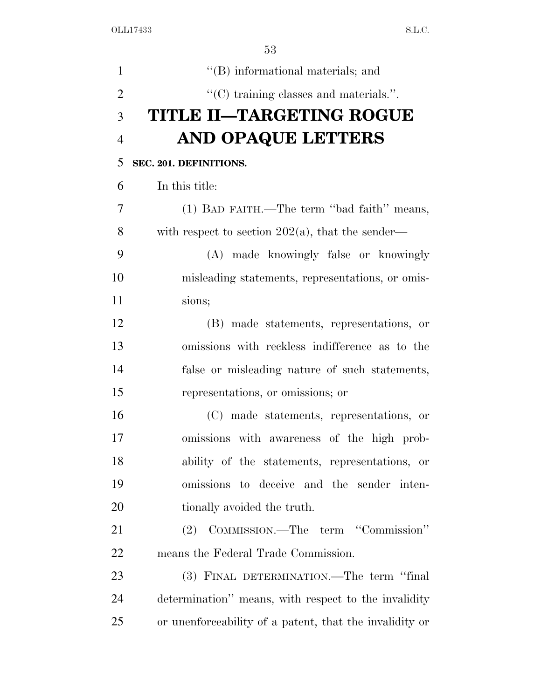| $\mathbf{1}$   | "(B) informational materials; and                       |
|----------------|---------------------------------------------------------|
| $\overline{2}$ | "(C) training classes and materials.".                  |
| 3              | <b>TITLE II-TARGETING ROGUE</b>                         |
| $\overline{4}$ | AND OPAQUE LETTERS                                      |
| 5              | SEC. 201. DEFINITIONS.                                  |
| 6              | In this title:                                          |
| 7              | (1) BAD FAITH.—The term "bad faith" means,              |
| 8              | with respect to section $202(a)$ , that the sender—     |
| 9              | (A) made knowingly false or knowingly                   |
| 10             | misleading statements, representations, or omis-        |
| 11             | sions;                                                  |
| 12             | (B) made statements, representations, or                |
| 13             | omissions with reckless indifference as to the          |
| 14             | false or misleading nature of such statements,          |
| 15             | representations, or omissions; or                       |
| 16             | (C) made statements, representations, or                |
| 17             | omissions with awareness of the high prob-              |
| 18             | ability of the statements, representations, or          |
| 19             | omissions to deceive and the sender inten-              |
| 20             | tionally avoided the truth.                             |
| 21             | (2) COMMISSION.—The term "Commission"                   |
| 22             | means the Federal Trade Commission.                     |
| 23             | (3) FINAL DETERMINATION.—The term "final                |
| 24             | determination" means, with respect to the invalidity    |
| 25             | or unenforceability of a patent, that the invalidity or |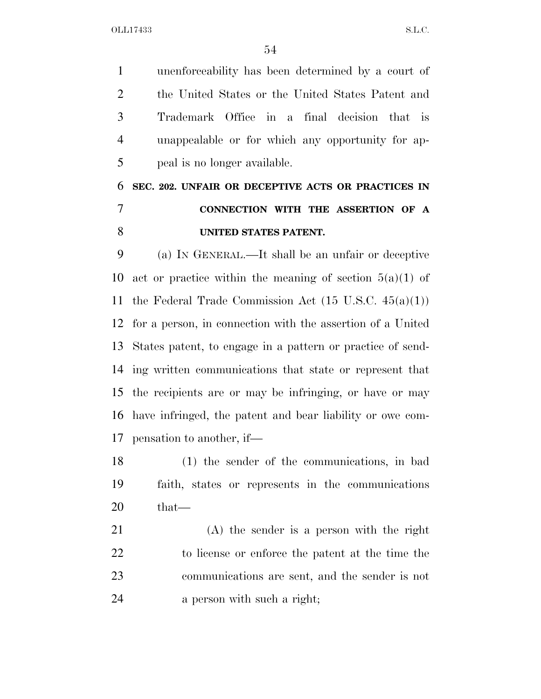unenforceability has been determined by a court of the United States or the United States Patent and Trademark Office in a final decision that is unappealable or for which any opportunity for ap-peal is no longer available.

# **SEC. 202. UNFAIR OR DECEPTIVE ACTS OR PRACTICES IN CONNECTION WITH THE ASSERTION OF A UNITED STATES PATENT.**

 (a) IN GENERAL.—It shall be an unfair or deceptive 10 act or practice within the meaning of section  $5(a)(1)$  of the Federal Trade Commission Act (15 U.S.C. 45(a)(1)) for a person, in connection with the assertion of a United States patent, to engage in a pattern or practice of send- ing written communications that state or represent that the recipients are or may be infringing, or have or may have infringed, the patent and bear liability or owe com-pensation to another, if—

 (1) the sender of the communications, in bad faith, states or represents in the communications that—

 (A) the sender is a person with the right to license or enforce the patent at the time the communications are sent, and the sender is not a person with such a right;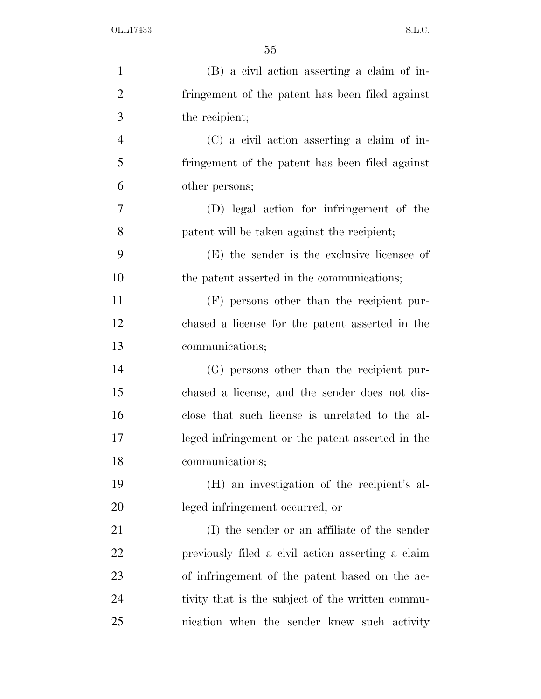| $\mathbf{1}$   | (B) a civil action asserting a claim of in-       |
|----------------|---------------------------------------------------|
| $\overline{2}$ | fringement of the patent has been filed against   |
| 3              | the recipient;                                    |
| $\overline{4}$ | $(C)$ a civil action asserting a claim of in-     |
| 5              | fringement of the patent has been filed against   |
| 6              | other persons;                                    |
| $\tau$         | (D) legal action for infringement of the          |
| 8              | patent will be taken against the recipient;       |
| 9              | (E) the sender is the exclusive licensee of       |
| 10             | the patent asserted in the communications;        |
| 11             | (F) persons other than the recipient pur-         |
| 12             | chased a license for the patent asserted in the   |
| 13             | communications;                                   |
| 14             | (G) persons other than the recipient pur-         |
| 15             | chased a license, and the sender does not dis-    |
| 16             | close that such license is unrelated to the al-   |
| 17             | leged infringement or the patent asserted in the  |
| 18             | communications;                                   |
| 19             | (H) an investigation of the recipient's al-       |
| 20             | leged infringement occurred; or                   |
| 21             | (I) the sender or an affiliate of the sender      |
| 22             | previously filed a civil action asserting a claim |
| 23             | of infringement of the patent based on the ac-    |
| 24             | tivity that is the subject of the written commu-  |
| 25             | nication when the sender knew such activity       |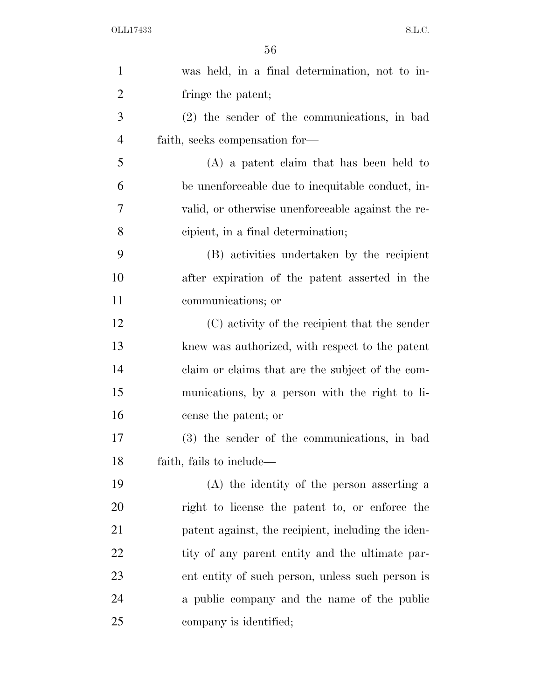| $\mathbf{1}$   | was held, in a final determination, not to in-     |
|----------------|----------------------------------------------------|
| $\overline{2}$ | fringe the patent;                                 |
| 3              | $(2)$ the sender of the communications, in bad     |
| $\overline{4}$ | faith, seeks compensation for—                     |
| 5              | $(A)$ a patent claim that has been held to         |
| 6              | be unenforceable due to inequitable conduct, in-   |
| 7              | valid, or otherwise unenforceable against the re-  |
| 8              | cipient, in a final determination;                 |
| 9              | (B) activities undertaken by the recipient         |
| 10             | after expiration of the patent asserted in the     |
| 11             | communications; or                                 |
| 12             | (C) activity of the recipient that the sender      |
| 13             | knew was authorized, with respect to the patent    |
| 14             | claim or claims that are the subject of the com-   |
| 15             | munications, by a person with the right to li-     |
| 16             | cense the patent; or                               |
| 17             | (3) the sender of the communications, in bad       |
| 18             | faith, fails to include—                           |
| 19             | (A) the identity of the person asserting a         |
| 20             | right to license the patent to, or enforce the     |
| 21             | patent against, the recipient, including the iden- |
| 22             | tity of any parent entity and the ultimate par-    |
| 23             | ent entity of such person, unless such person is   |
| 24             | a public company and the name of the public        |
| 25             | company is identified;                             |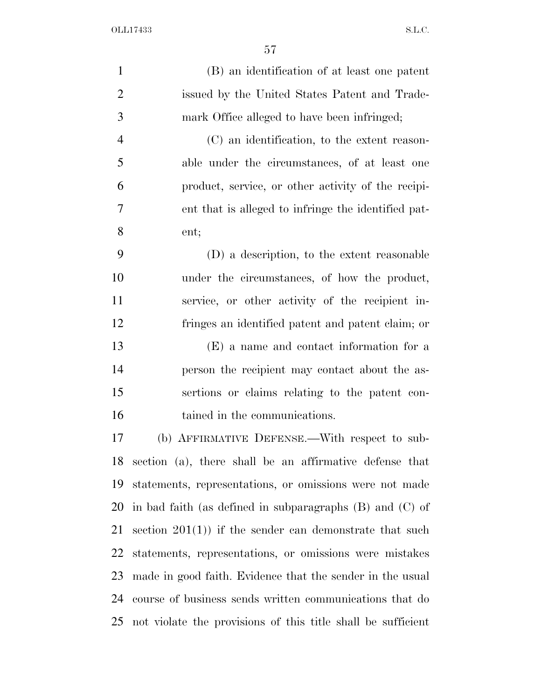| $\mathbf{1}$   | (B) an identification of at least one patent                 |
|----------------|--------------------------------------------------------------|
| $\overline{2}$ | issued by the United States Patent and Trade-                |
| 3              | mark Office alleged to have been infringed;                  |
| $\overline{4}$ | (C) an identification, to the extent reason-                 |
| 5              | able under the circumstances, of at least one                |
| 6              | product, service, or other activity of the recipi-           |
| 7              | ent that is alleged to infringe the identified pat-          |
| 8              | ent;                                                         |
| 9              | (D) a description, to the extent reasonable                  |
| 10             | under the circumstances, of how the product,                 |
| 11             | service, or other activity of the recipient in-              |
| 12             | fringes an identified patent and patent claim; or            |
| 13             | (E) a name and contact information for a                     |
| 14             | person the recipient may contact about the as-               |
| 15             | sertions or claims relating to the patent con-               |
| 16             | tained in the communications.                                |
| 17             | (b) AFFIRMATIVE DEFENSE.—With respect to sub-                |
| 18             | section (a), there shall be an affirmative defense that      |
| 19             | statements, representations, or omissions were not made      |
| 20             | in bad faith (as defined in subparagraphs $(B)$ and $(C)$ of |
| 21             | section $201(1)$ if the sender can demonstrate that such     |
| 22             | statements, representations, or omissions were mistakes      |
| 23             | made in good faith. Evidence that the sender in the usual    |
| 24             | course of business sends written communications that do      |
| 25             | not violate the provisions of this title shall be sufficient |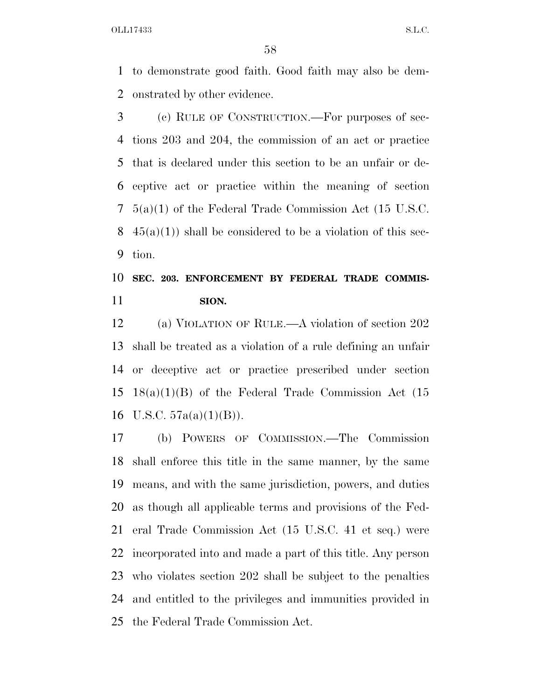to demonstrate good faith. Good faith may also be dem-onstrated by other evidence.

 (c) RULE OF CONSTRUCTION.—For purposes of sec- tions 203 and 204, the commission of an act or practice that is declared under this section to be an unfair or de- ceptive act or practice within the meaning of section 5(a)(1) of the Federal Trade Commission Act (15 U.S.C.  $45(a)(1)$  shall be considered to be a violation of this sec-tion.

### **SEC. 203. ENFORCEMENT BY FEDERAL TRADE COMMIS-SION.**

 (a) VIOLATION OF RULE.—A violation of section 202 shall be treated as a violation of a rule defining an unfair or deceptive act or practice prescribed under section 18(a)(1)(B) of the Federal Trade Commission Act (15 16 U.S.C.  $57a(a)(1)(B)$ ).

 (b) POWERS OF COMMISSION.—The Commission shall enforce this title in the same manner, by the same means, and with the same jurisdiction, powers, and duties as though all applicable terms and provisions of the Fed- eral Trade Commission Act (15 U.S.C. 41 et seq.) were incorporated into and made a part of this title. Any person who violates section 202 shall be subject to the penalties and entitled to the privileges and immunities provided in the Federal Trade Commission Act.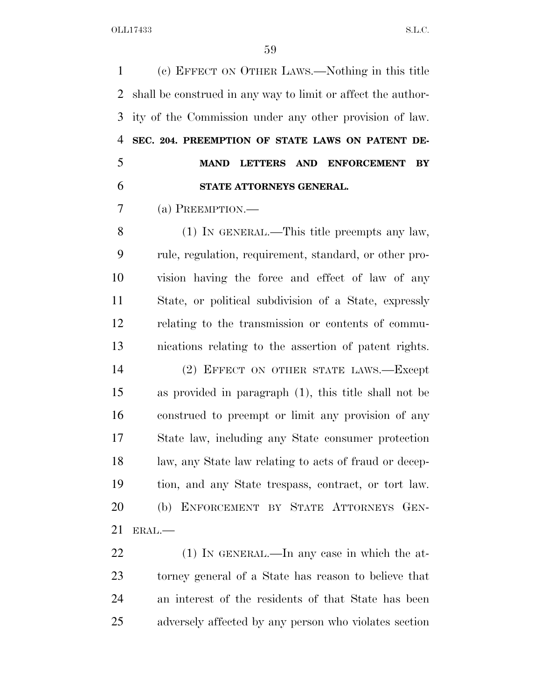(c) EFFECT ON OTHER LAWS.—Nothing in this title shall be construed in any way to limit or affect the author- ity of the Commission under any other provision of law. **SEC. 204. PREEMPTION OF STATE LAWS ON PATENT DE- MAND LETTERS AND ENFORCEMENT BY STATE ATTORNEYS GENERAL.** 

(a) PREEMPTION.—

 (1) IN GENERAL.—This title preempts any law, rule, regulation, requirement, standard, or other pro- vision having the force and effect of law of any State, or political subdivision of a State, expressly relating to the transmission or contents of commu-nications relating to the assertion of patent rights.

 (2) EFFECT ON OTHER STATE LAWS.—Except as provided in paragraph (1), this title shall not be construed to preempt or limit any provision of any State law, including any State consumer protection law, any State law relating to acts of fraud or decep- tion, and any State trespass, contract, or tort law. (b) ENFORCEMENT BY STATE ATTORNEYS GEN-ERAL.—

22 (1) IN GENERAL.—In any case in which the at- torney general of a State has reason to believe that an interest of the residents of that State has been adversely affected by any person who violates section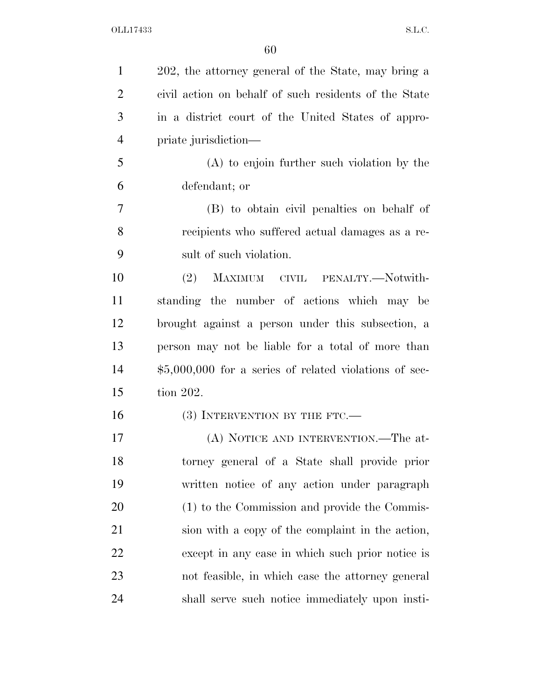| $\mathbf{1}$   | 202, the attorney general of the State, may bring a     |
|----------------|---------------------------------------------------------|
| $\overline{2}$ | civil action on behalf of such residents of the State   |
| 3              | in a district court of the United States of appro-      |
| $\overline{4}$ | priate jurisdiction—                                    |
| 5              | $(A)$ to enjoin further such violation by the           |
| 6              | defendant; or                                           |
| 7              | (B) to obtain civil penalties on behalf of              |
| 8              | recipients who suffered actual damages as a re-         |
| 9              | sult of such violation.                                 |
| 10             | (2)<br>MAXIMUM CIVIL PENALTY.—Notwith-                  |
| 11             | standing the number of actions which may be             |
| 12             | brought against a person under this subsection, a       |
| 13             | person may not be liable for a total of more than       |
| 14             | $$5,000,000$ for a series of related violations of sec- |
| 15             | tion 202.                                               |
| 16             | $(3)$ INTERVENTION BY THE FTC.—                         |
| 17             | (A) NOTICE AND INTERVENTION.—The at-                    |
| 18             | torney general of a State shall provide prior           |
| 19             | written notice of any action under paragraph            |
| 20             | (1) to the Commission and provide the Commis-           |
| 21             | sion with a copy of the complaint in the action,        |
| 22             | except in any case in which such prior notice is        |
| 23             | not feasible, in which case the attorney general        |
| 24             | shall serve such notice immediately upon insti-         |
|                |                                                         |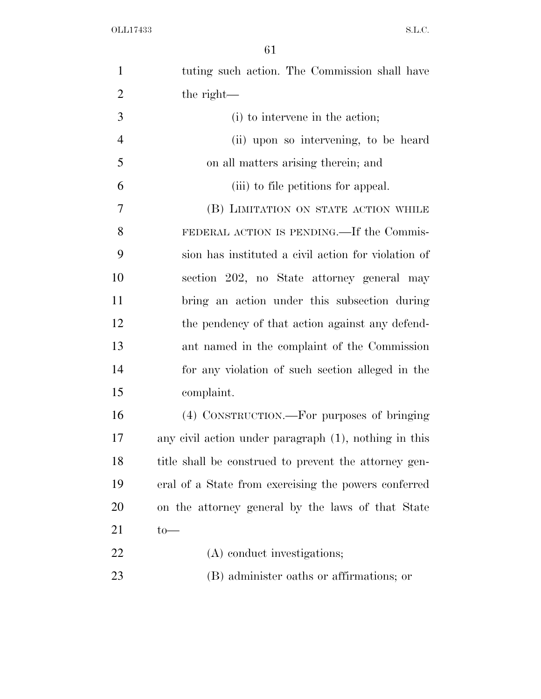| $\mathbf{1}$   | tuting such action. The Commission shall have         |
|----------------|-------------------------------------------------------|
| $\overline{2}$ | the right—                                            |
| 3              | (i) to intervene in the action;                       |
| $\overline{4}$ | (ii) upon so intervening, to be heard                 |
| 5              | on all matters arising therein; and                   |
| 6              | (iii) to file petitions for appeal.                   |
| 7              | (B) LIMITATION ON STATE ACTION WHILE                  |
| 8              | FEDERAL ACTION IS PENDING.—If the Commis-             |
| 9              | sion has instituted a civil action for violation of   |
| 10             | section 202, no State attorney general may            |
| 11             | bring an action under this subsection during          |
| 12             | the pendency of that action against any defend-       |
| 13             | ant named in the complaint of the Commission          |
| 14             | for any violation of such section alleged in the      |
| 15             | complaint.                                            |
| 16             | (4) CONSTRUCTION.—For purposes of bringing            |
| 17             | any civil action under paragraph (1), nothing in this |
| 18             | title shall be construed to prevent the attorney gen- |
| 19             | eral of a State from exercising the powers conferred  |
| 20             | on the attorney general by the laws of that State     |
| 21             | $to-$                                                 |
| 22             | (A) conduct investigations;                           |
| 23             | (B) administer oaths or affirmations; or              |